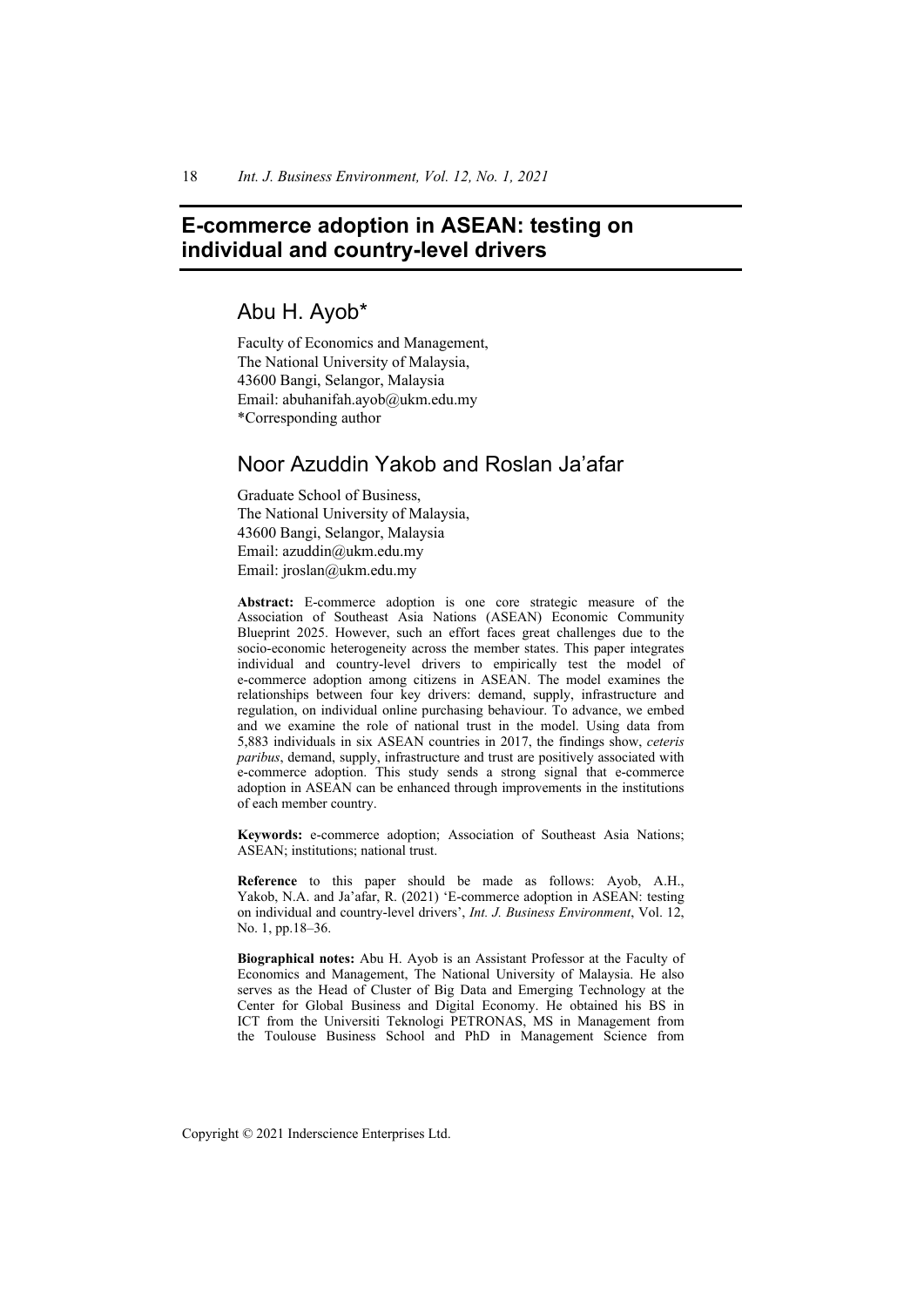# **E-commerce adoption in ASEAN: testing on individual and country-level drivers**

# Abu H. Ayob\*

Faculty of Economics and Management, The National University of Malaysia, 43600 Bangi, Selangor, Malaysia Email: abuhanifah.ayob@ukm.edu.my \*Corresponding author

# Noor Azuddin Yakob and Roslan Ja'afar

Graduate School of Business, The National University of Malaysia, 43600 Bangi, Selangor, Malaysia Email: azuddin@ukm.edu.my Email: jroslan@ukm.edu.my

**Abstract:** E-commerce adoption is one core strategic measure of the Association of Southeast Asia Nations (ASEAN) Economic Community Blueprint 2025. However, such an effort faces great challenges due to the socio-economic heterogeneity across the member states. This paper integrates individual and country-level drivers to empirically test the model of e-commerce adoption among citizens in ASEAN. The model examines the relationships between four key drivers: demand, supply, infrastructure and regulation, on individual online purchasing behaviour. To advance, we embed and we examine the role of national trust in the model. Using data from 5,883 individuals in six ASEAN countries in 2017, the findings show, *ceteris paribus*, demand, supply, infrastructure and trust are positively associated with e-commerce adoption. This study sends a strong signal that e-commerce adoption in ASEAN can be enhanced through improvements in the institutions of each member country.

**Keywords:** e-commerce adoption; Association of Southeast Asia Nations; ASEAN; institutions; national trust.

**Reference** to this paper should be made as follows: Ayob, A.H., Yakob, N.A. and Ja'afar, R. (2021) 'E-commerce adoption in ASEAN: testing on individual and country-level drivers', *Int. J. Business Environment*, Vol. 12, No. 1, pp.18–36.

**Biographical notes:** Abu H. Ayob is an Assistant Professor at the Faculty of Economics and Management, The National University of Malaysia. He also serves as the Head of Cluster of Big Data and Emerging Technology at the Center for Global Business and Digital Economy. He obtained his BS in ICT from the Universiti Teknologi PETRONAS, MS in Management from the Toulouse Business School and PhD in Management Science from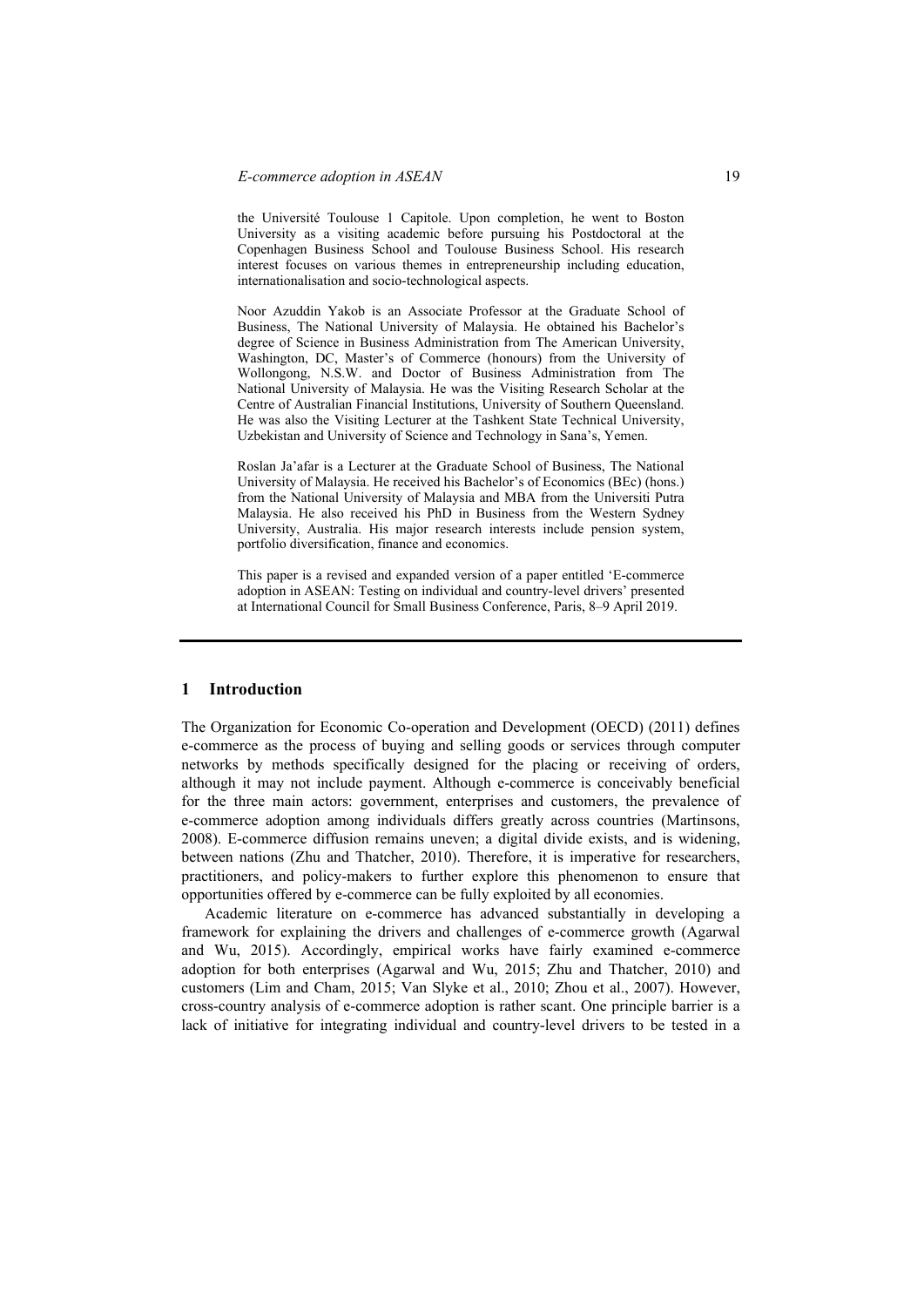the Université Toulouse 1 Capitole. Upon completion, he went to Boston University as a visiting academic before pursuing his Postdoctoral at the Copenhagen Business School and Toulouse Business School. His research interest focuses on various themes in entrepreneurship including education, internationalisation and socio-technological aspects.

Noor Azuddin Yakob is an Associate Professor at the Graduate School of Business, The National University of Malaysia. He obtained his Bachelor's degree of Science in Business Administration from The American University, Washington, DC, Master's of Commerce (honours) from the University of Wollongong, N.S.W. and Doctor of Business Administration from The National University of Malaysia. He was the Visiting Research Scholar at the Centre of Australian Financial Institutions, University of Southern Queensland. He was also the Visiting Lecturer at the Tashkent State Technical University, Uzbekistan and University of Science and Technology in Sana's, Yemen.

Roslan Ja'afar is a Lecturer at the Graduate School of Business, The National University of Malaysia. He received his Bachelor's of Economics (BEc) (hons.) from the National University of Malaysia and MBA from the Universiti Putra Malaysia. He also received his PhD in Business from the Western Sydney University, Australia. His major research interests include pension system, portfolio diversification, finance and economics.

This paper is a revised and expanded version of a paper entitled 'E-commerce adoption in ASEAN: Testing on individual and country-level drivers' presented at International Council for Small Business Conference, Paris, 8–9 April 2019.

## **1 Introduction**

The Organization for Economic Co-operation and Development (OECD) (2011) defines e-commerce as the process of buying and selling goods or services through computer networks by methods specifically designed for the placing or receiving of orders, although it may not include payment. Although e-commerce is conceivably beneficial for the three main actors: government, enterprises and customers, the prevalence of e-commerce adoption among individuals differs greatly across countries (Martinsons, 2008). E-commerce diffusion remains uneven; a digital divide exists, and is widening, between nations (Zhu and Thatcher, 2010). Therefore, it is imperative for researchers, practitioners, and policy-makers to further explore this phenomenon to ensure that opportunities offered by e-commerce can be fully exploited by all economies.

Academic literature on e-commerce has advanced substantially in developing a framework for explaining the drivers and challenges of e-commerce growth (Agarwal and Wu, 2015). Accordingly, empirical works have fairly examined e-commerce adoption for both enterprises (Agarwal and Wu, 2015; Zhu and Thatcher, 2010) and customers (Lim and Cham, 2015; Van Slyke et al., 2010; Zhou et al., 2007). However, cross-country analysis of e-commerce adoption is rather scant. One principle barrier is a lack of initiative for integrating individual and country-level drivers to be tested in a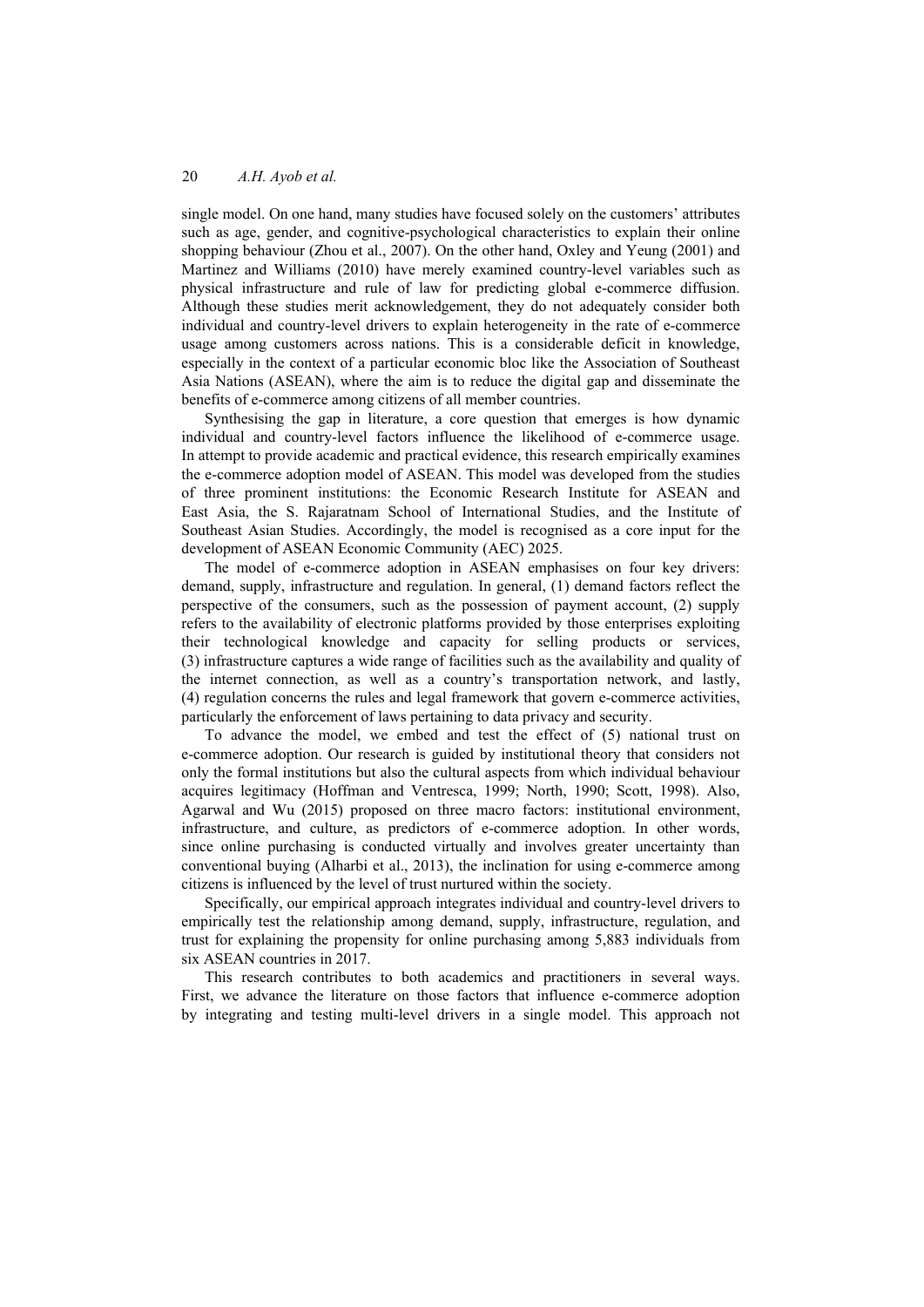single model. On one hand, many studies have focused solely on the customers' attributes such as age, gender, and cognitive-psychological characteristics to explain their online shopping behaviour (Zhou et al., 2007). On the other hand, Oxley and Yeung (2001) and Martinez and Williams (2010) have merely examined country-level variables such as physical infrastructure and rule of law for predicting global e-commerce diffusion. Although these studies merit acknowledgement, they do not adequately consider both individual and country-level drivers to explain heterogeneity in the rate of e-commerce usage among customers across nations. This is a considerable deficit in knowledge, especially in the context of a particular economic bloc like the Association of Southeast Asia Nations (ASEAN), where the aim is to reduce the digital gap and disseminate the benefits of e-commerce among citizens of all member countries.

Synthesising the gap in literature, a core question that emerges is how dynamic individual and country-level factors influence the likelihood of e-commerce usage. In attempt to provide academic and practical evidence, this research empirically examines the e-commerce adoption model of ASEAN. This model was developed from the studies of three prominent institutions: the Economic Research Institute for ASEAN and East Asia, the S. Rajaratnam School of International Studies, and the Institute of Southeast Asian Studies. Accordingly, the model is recognised as a core input for the development of ASEAN Economic Community (AEC) 2025.

The model of e-commerce adoption in ASEAN emphasises on four key drivers: demand, supply, infrastructure and regulation. In general, (1) demand factors reflect the perspective of the consumers, such as the possession of payment account, (2) supply refers to the availability of electronic platforms provided by those enterprises exploiting their technological knowledge and capacity for selling products or services, (3) infrastructure captures a wide range of facilities such as the availability and quality of the internet connection, as well as a country's transportation network, and lastly, (4) regulation concerns the rules and legal framework that govern e-commerce activities, particularly the enforcement of laws pertaining to data privacy and security.

To advance the model, we embed and test the effect of (5) national trust on e-commerce adoption. Our research is guided by institutional theory that considers not only the formal institutions but also the cultural aspects from which individual behaviour acquires legitimacy (Hoffman and Ventresca, 1999; North, 1990; Scott, 1998). Also, Agarwal and Wu (2015) proposed on three macro factors: institutional environment, infrastructure, and culture, as predictors of e-commerce adoption. In other words, since online purchasing is conducted virtually and involves greater uncertainty than conventional buying (Alharbi et al., 2013), the inclination for using e-commerce among citizens is influenced by the level of trust nurtured within the society.

Specifically, our empirical approach integrates individual and country-level drivers to empirically test the relationship among demand, supply, infrastructure, regulation, and trust for explaining the propensity for online purchasing among 5,883 individuals from six ASEAN countries in 2017.

This research contributes to both academics and practitioners in several ways. First, we advance the literature on those factors that influence e-commerce adoption by integrating and testing multi-level drivers in a single model. This approach not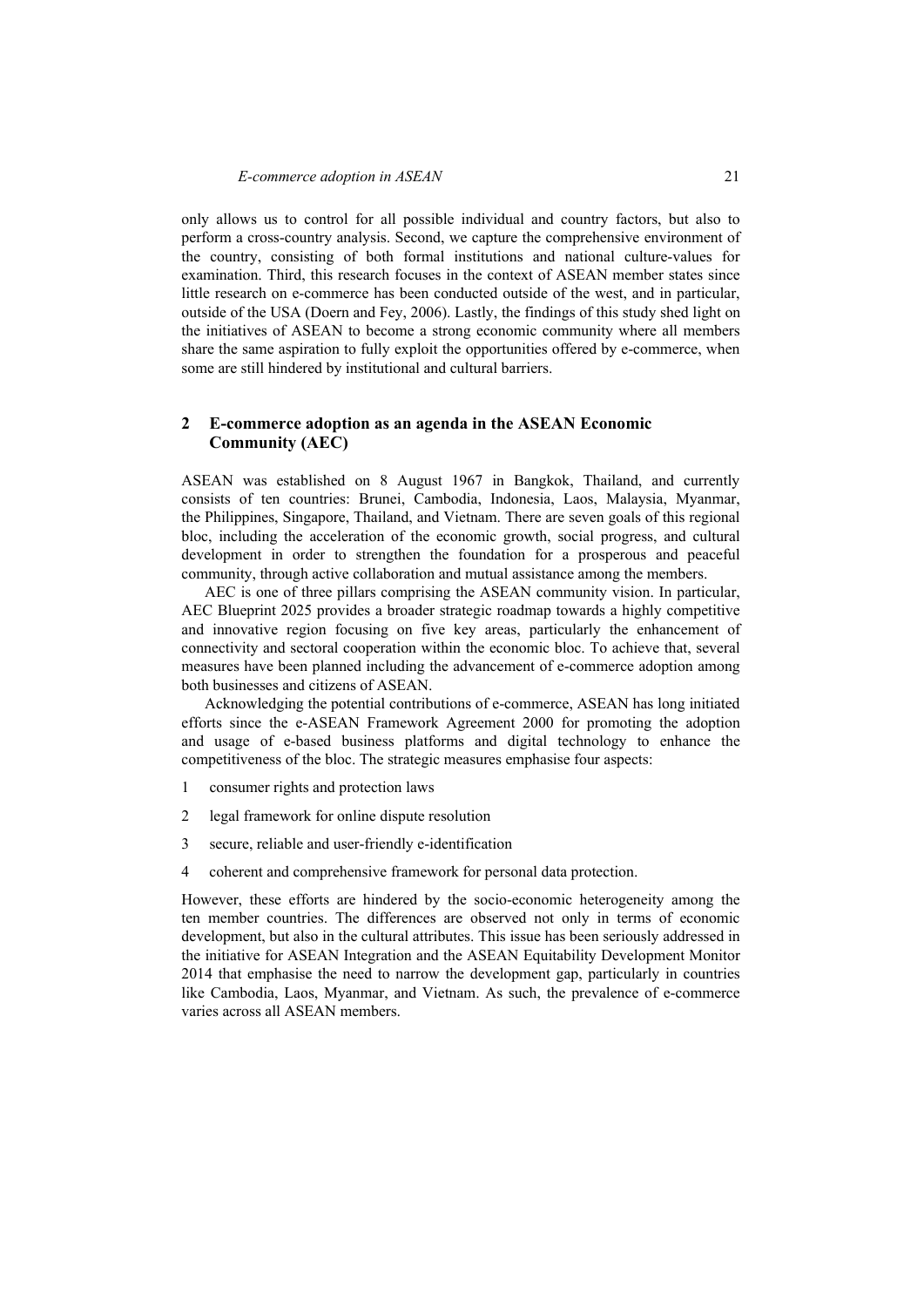only allows us to control for all possible individual and country factors, but also to perform a cross-country analysis. Second, we capture the comprehensive environment of the country, consisting of both formal institutions and national culture-values for examination. Third, this research focuses in the context of ASEAN member states since little research on e-commerce has been conducted outside of the west, and in particular, outside of the USA (Doern and Fey, 2006). Lastly, the findings of this study shed light on the initiatives of ASEAN to become a strong economic community where all members share the same aspiration to fully exploit the opportunities offered by e-commerce, when some are still hindered by institutional and cultural barriers.

# **2 E-commerce adoption as an agenda in the ASEAN Economic Community (AEC)**

ASEAN was established on 8 August 1967 in Bangkok, Thailand, and currently consists of ten countries: Brunei, Cambodia, Indonesia, Laos, Malaysia, Myanmar, the Philippines, Singapore, Thailand, and Vietnam. There are seven goals of this regional bloc, including the acceleration of the economic growth, social progress, and cultural development in order to strengthen the foundation for a prosperous and peaceful community, through active collaboration and mutual assistance among the members.

AEC is one of three pillars comprising the ASEAN community vision. In particular, AEC Blueprint 2025 provides a broader strategic roadmap towards a highly competitive and innovative region focusing on five key areas, particularly the enhancement of connectivity and sectoral cooperation within the economic bloc. To achieve that, several measures have been planned including the advancement of e-commerce adoption among both businesses and citizens of ASEAN.

Acknowledging the potential contributions of e-commerce, ASEAN has long initiated efforts since the e-ASEAN Framework Agreement 2000 for promoting the adoption and usage of e-based business platforms and digital technology to enhance the competitiveness of the bloc. The strategic measures emphasise four aspects:

- 1 consumer rights and protection laws
- 2 legal framework for online dispute resolution
- 3 secure, reliable and user-friendly e-identification
- 4 coherent and comprehensive framework for personal data protection.

However, these efforts are hindered by the socio-economic heterogeneity among the ten member countries. The differences are observed not only in terms of economic development, but also in the cultural attributes. This issue has been seriously addressed in the initiative for ASEAN Integration and the ASEAN Equitability Development Monitor 2014 that emphasise the need to narrow the development gap, particularly in countries like Cambodia, Laos, Myanmar, and Vietnam. As such, the prevalence of e-commerce varies across all ASEAN members.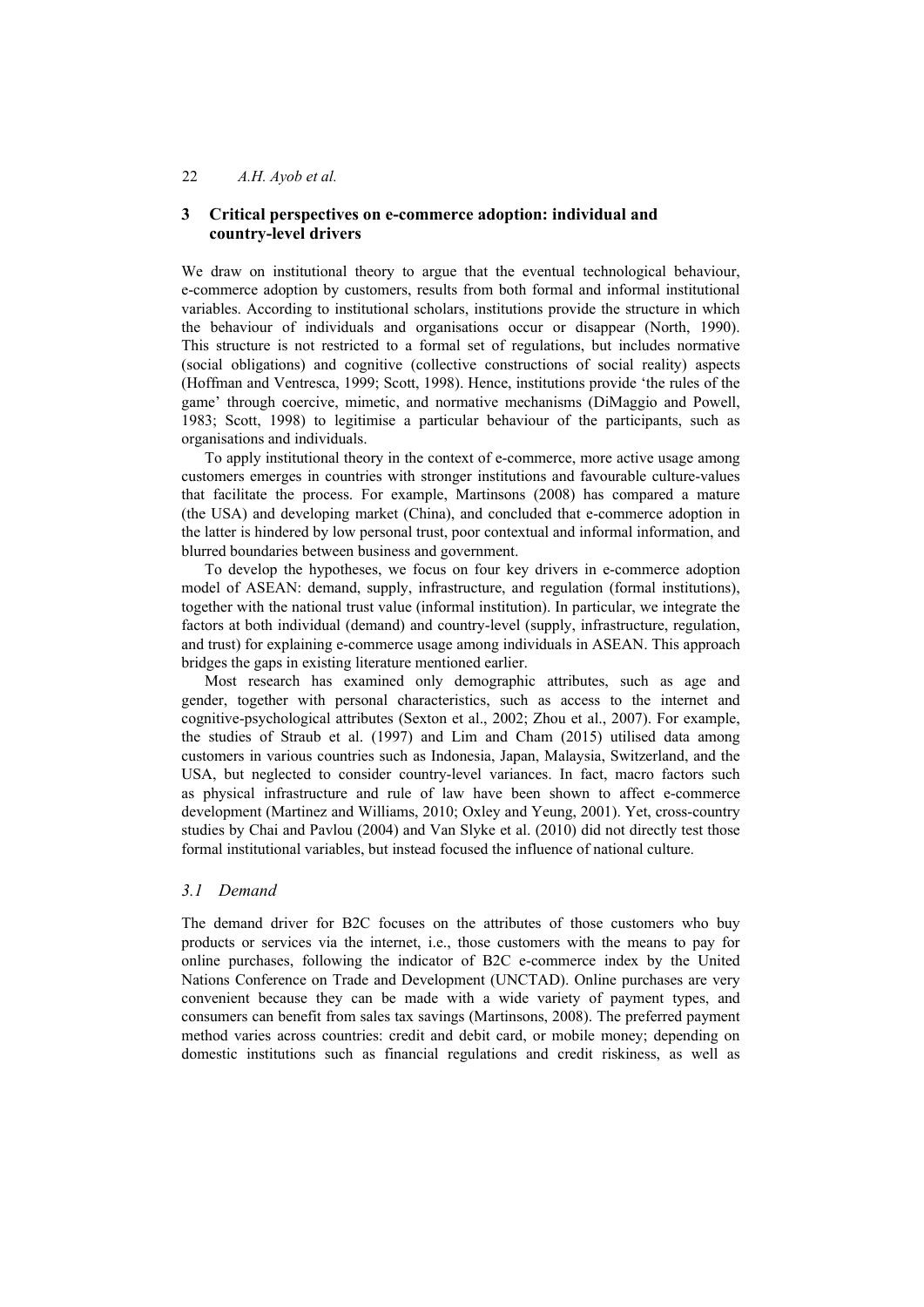# **3 Critical perspectives on e-commerce adoption: individual and country-level drivers**

We draw on institutional theory to argue that the eventual technological behaviour, e-commerce adoption by customers, results from both formal and informal institutional variables. According to institutional scholars, institutions provide the structure in which the behaviour of individuals and organisations occur or disappear (North, 1990). This structure is not restricted to a formal set of regulations, but includes normative (social obligations) and cognitive (collective constructions of social reality) aspects (Hoffman and Ventresca, 1999; Scott, 1998). Hence, institutions provide 'the rules of the game' through coercive, mimetic, and normative mechanisms (DiMaggio and Powell, 1983; Scott, 1998) to legitimise a particular behaviour of the participants, such as organisations and individuals.

To apply institutional theory in the context of e-commerce, more active usage among customers emerges in countries with stronger institutions and favourable culture-values that facilitate the process. For example, Martinsons (2008) has compared a mature (the USA) and developing market (China), and concluded that e-commerce adoption in the latter is hindered by low personal trust, poor contextual and informal information, and blurred boundaries between business and government.

To develop the hypotheses, we focus on four key drivers in e-commerce adoption model of ASEAN: demand, supply, infrastructure, and regulation (formal institutions), together with the national trust value (informal institution). In particular, we integrate the factors at both individual (demand) and country-level (supply, infrastructure, regulation, and trust) for explaining e-commerce usage among individuals in ASEAN. This approach bridges the gaps in existing literature mentioned earlier.

Most research has examined only demographic attributes, such as age and gender, together with personal characteristics, such as access to the internet and cognitive-psychological attributes (Sexton et al., 2002; Zhou et al., 2007). For example, the studies of Straub et al. (1997) and Lim and Cham (2015) utilised data among customers in various countries such as Indonesia, Japan, Malaysia, Switzerland, and the USA, but neglected to consider country-level variances. In fact, macro factors such as physical infrastructure and rule of law have been shown to affect e-commerce development (Martinez and Williams, 2010; Oxley and Yeung, 2001). Yet, cross-country studies by Chai and Pavlou (2004) and Van Slyke et al. (2010) did not directly test those formal institutional variables, but instead focused the influence of national culture.

### *3.1 Demand*

The demand driver for B2C focuses on the attributes of those customers who buy products or services via the internet, i.e., those customers with the means to pay for online purchases, following the indicator of B2C e-commerce index by the United Nations Conference on Trade and Development (UNCTAD). Online purchases are very convenient because they can be made with a wide variety of payment types, and consumers can benefit from sales tax savings (Martinsons, 2008). The preferred payment method varies across countries: credit and debit card, or mobile money; depending on domestic institutions such as financial regulations and credit riskiness, as well as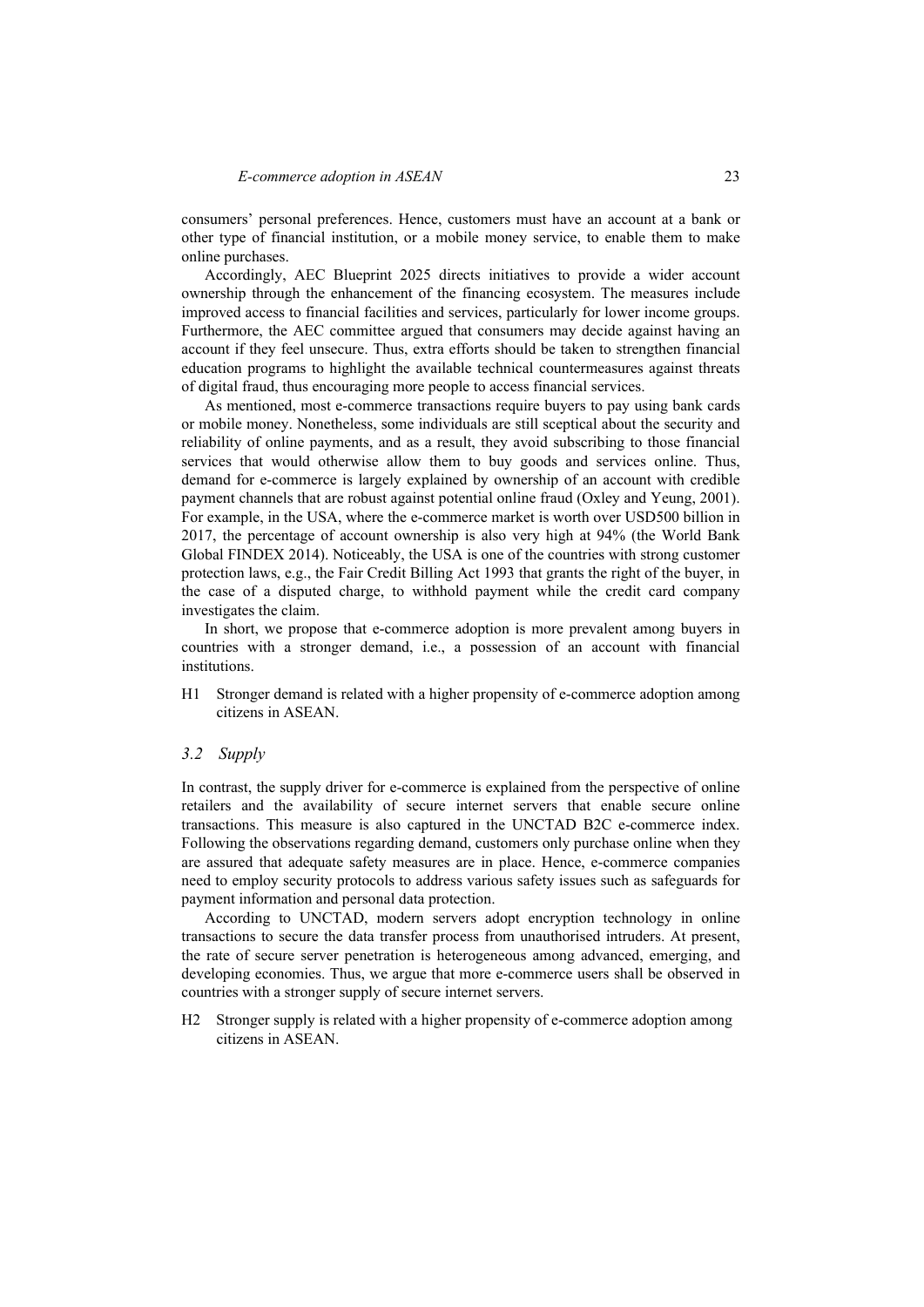consumers' personal preferences. Hence, customers must have an account at a bank or other type of financial institution, or a mobile money service, to enable them to make online purchases.

Accordingly, AEC Blueprint 2025 directs initiatives to provide a wider account ownership through the enhancement of the financing ecosystem. The measures include improved access to financial facilities and services, particularly for lower income groups. Furthermore, the AEC committee argued that consumers may decide against having an account if they feel unsecure. Thus, extra efforts should be taken to strengthen financial education programs to highlight the available technical countermeasures against threats of digital fraud, thus encouraging more people to access financial services.

As mentioned, most e-commerce transactions require buyers to pay using bank cards or mobile money. Nonetheless, some individuals are still sceptical about the security and reliability of online payments, and as a result, they avoid subscribing to those financial services that would otherwise allow them to buy goods and services online. Thus, demand for e-commerce is largely explained by ownership of an account with credible payment channels that are robust against potential online fraud (Oxley and Yeung, 2001). For example, in the USA, where the e-commerce market is worth over USD500 billion in 2017, the percentage of account ownership is also very high at 94% (the World Bank Global FINDEX 2014). Noticeably, the USA is one of the countries with strong customer protection laws, e.g., the Fair Credit Billing Act 1993 that grants the right of the buyer, in the case of a disputed charge, to withhold payment while the credit card company investigates the claim.

In short, we propose that e-commerce adoption is more prevalent among buyers in countries with a stronger demand, i.e., a possession of an account with financial institutions.

H1 Stronger demand is related with a higher propensity of e-commerce adoption among citizens in ASEAN.

### *3.2 Supply*

In contrast, the supply driver for e-commerce is explained from the perspective of online retailers and the availability of secure internet servers that enable secure online transactions. This measure is also captured in the UNCTAD B2C e-commerce index. Following the observations regarding demand, customers only purchase online when they are assured that adequate safety measures are in place. Hence, e‐commerce companies need to employ security protocols to address various safety issues such as safeguards for payment information and personal data protection.

According to UNCTAD, modern servers adopt encryption technology in online transactions to secure the data transfer process from unauthorised intruders. At present, the rate of secure server penetration is heterogeneous among advanced, emerging, and developing economies. Thus, we argue that more e-commerce users shall be observed in countries with a stronger supply of secure internet servers.

H2 Stronger supply is related with a higher propensity of e-commerce adoption among citizens in ASEAN.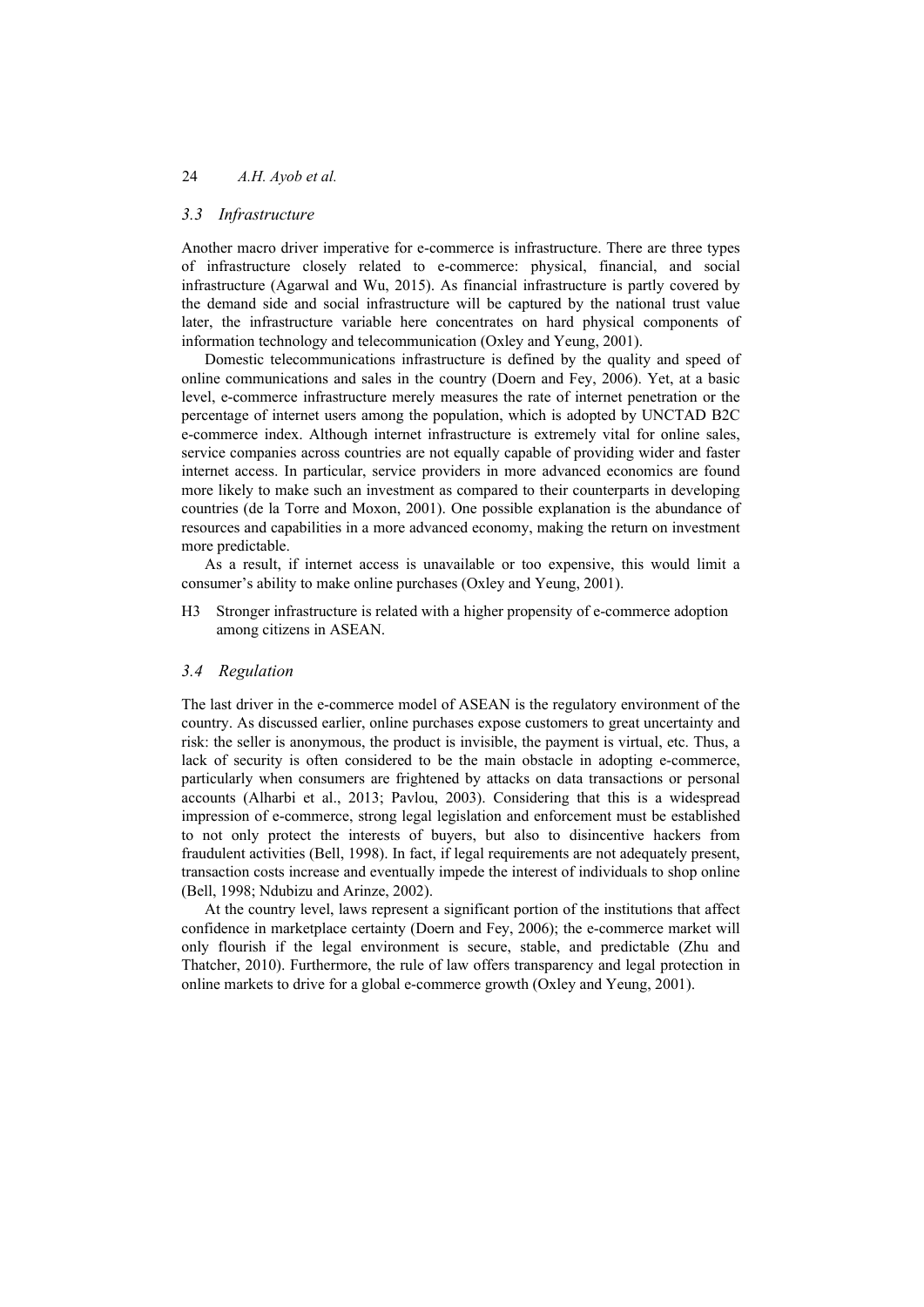# *3.3 Infrastructure*

Another macro driver imperative for e-commerce is infrastructure. There are three types of infrastructure closely related to e-commerce: physical, financial, and social infrastructure (Agarwal and Wu, 2015). As financial infrastructure is partly covered by the demand side and social infrastructure will be captured by the national trust value later, the infrastructure variable here concentrates on hard physical components of information technology and telecommunication (Oxley and Yeung, 2001).

Domestic telecommunications infrastructure is defined by the quality and speed of online communications and sales in the country (Doern and Fey, 2006). Yet, at a basic level, e-commerce infrastructure merely measures the rate of internet penetration or the percentage of internet users among the population, which is adopted by UNCTAD B2C e-commerce index. Although internet infrastructure is extremely vital for online sales, service companies across countries are not equally capable of providing wider and faster internet access. In particular, service providers in more advanced economics are found more likely to make such an investment as compared to their counterparts in developing countries (de la Torre and Moxon, 2001). One possible explanation is the abundance of resources and capabilities in a more advanced economy, making the return on investment more predictable.

As a result, if internet access is unavailable or too expensive, this would limit a consumer's ability to make online purchases (Oxley and Yeung, 2001).

H3 Stronger infrastructure is related with a higher propensity of e-commerce adoption among citizens in ASEAN.

### *3.4 Regulation*

The last driver in the e-commerce model of ASEAN is the regulatory environment of the country. As discussed earlier, online purchases expose customers to great uncertainty and risk: the seller is anonymous, the product is invisible, the payment is virtual, etc. Thus, a lack of security is often considered to be the main obstacle in adopting e-commerce, particularly when consumers are frightened by attacks on data transactions or personal accounts (Alharbi et al., 2013; Pavlou, 2003). Considering that this is a widespread impression of e-commerce, strong legal legislation and enforcement must be established to not only protect the interests of buyers, but also to disincentive hackers from fraudulent activities (Bell, 1998). In fact, if legal requirements are not adequately present, transaction costs increase and eventually impede the interest of individuals to shop online (Bell, 1998; Ndubizu and Arinze, 2002).

At the country level, laws represent a significant portion of the institutions that affect confidence in marketplace certainty (Doern and Fey, 2006); the e-commerce market will only flourish if the legal environment is secure, stable, and predictable (Zhu and Thatcher, 2010). Furthermore, the rule of law offers transparency and legal protection in online markets to drive for a global e-commerce growth (Oxley and Yeung, 2001).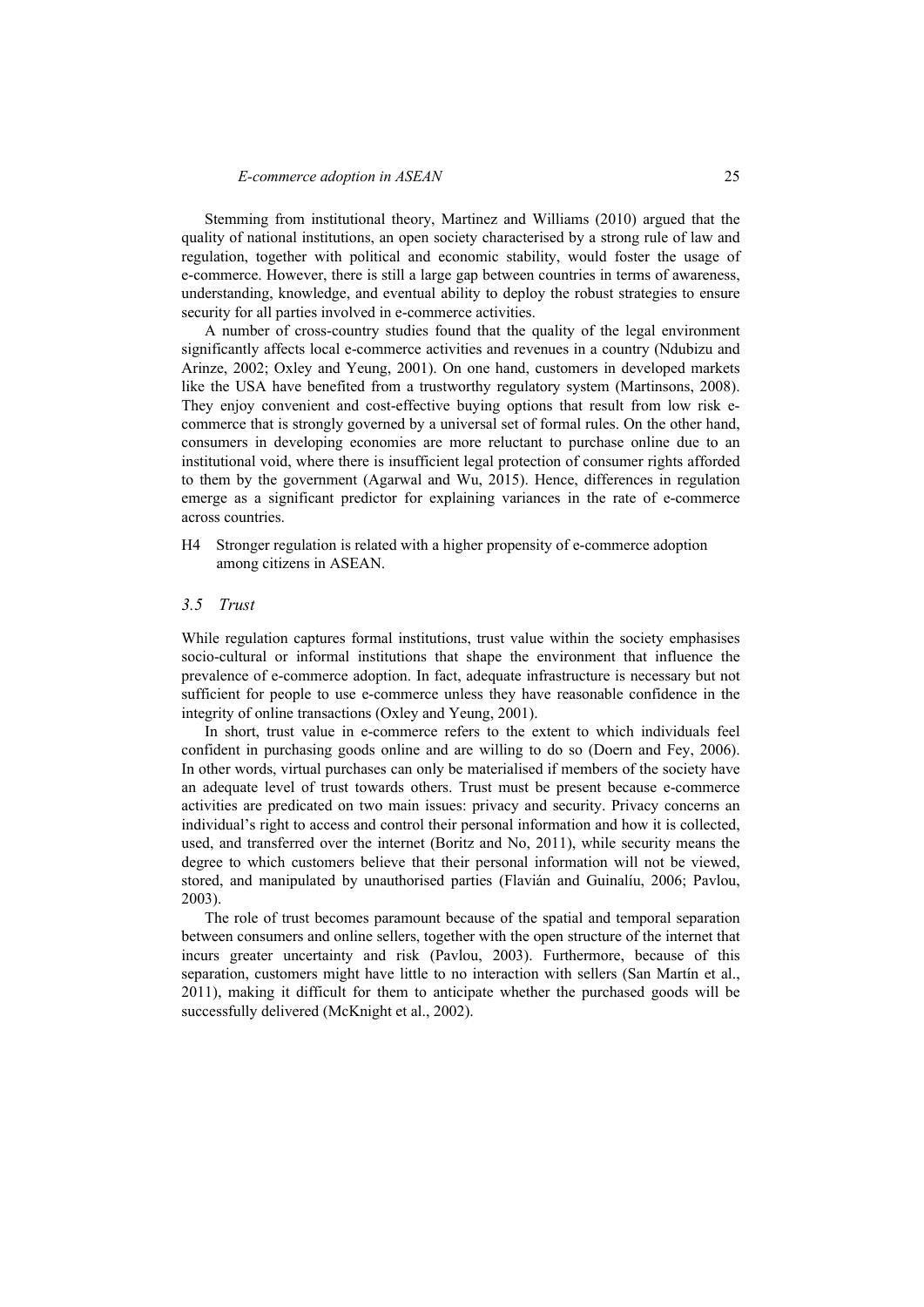Stemming from institutional theory, Martinez and Williams (2010) argued that the quality of national institutions, an open society characterised by a strong rule of law and regulation, together with political and economic stability, would foster the usage of e-commerce. However, there is still a large gap between countries in terms of awareness, understanding, knowledge, and eventual ability to deploy the robust strategies to ensure security for all parties involved in e-commerce activities.

A number of cross-country studies found that the quality of the legal environment significantly affects local e-commerce activities and revenues in a country (Ndubizu and Arinze, 2002; Oxley and Yeung, 2001). On one hand, customers in developed markets like the USA have benefited from a trustworthy regulatory system (Martinsons, 2008). They enjoy convenient and cost-effective buying options that result from low risk ecommerce that is strongly governed by a universal set of formal rules. On the other hand, consumers in developing economies are more reluctant to purchase online due to an institutional void, where there is insufficient legal protection of consumer rights afforded to them by the government (Agarwal and Wu, 2015). Hence, differences in regulation emerge as a significant predictor for explaining variances in the rate of e-commerce across countries.

H4 Stronger regulation is related with a higher propensity of e-commerce adoption among citizens in ASEAN.

## *3.5 Trust*

While regulation captures formal institutions, trust value within the society emphasises socio-cultural or informal institutions that shape the environment that influence the prevalence of e-commerce adoption. In fact, adequate infrastructure is necessary but not sufficient for people to use e-commerce unless they have reasonable confidence in the integrity of online transactions (Oxley and Yeung, 2001).

In short, trust value in e-commerce refers to the extent to which individuals feel confident in purchasing goods online and are willing to do so (Doern and Fey, 2006). In other words, virtual purchases can only be materialised if members of the society have an adequate level of trust towards others. Trust must be present because e-commerce activities are predicated on two main issues: privacy and security. Privacy concerns an individual's right to access and control their personal information and how it is collected, used, and transferred over the internet (Boritz and No, 2011), while security means the degree to which customers believe that their personal information will not be viewed, stored, and manipulated by unauthorised parties (Flavián and Guinalíu, 2006; Pavlou, 2003).

The role of trust becomes paramount because of the spatial and temporal separation between consumers and online sellers, together with the open structure of the internet that incurs greater uncertainty and risk (Pavlou, 2003). Furthermore, because of this separation, customers might have little to no interaction with sellers (San Martín et al., 2011), making it difficult for them to anticipate whether the purchased goods will be successfully delivered (McKnight et al., 2002).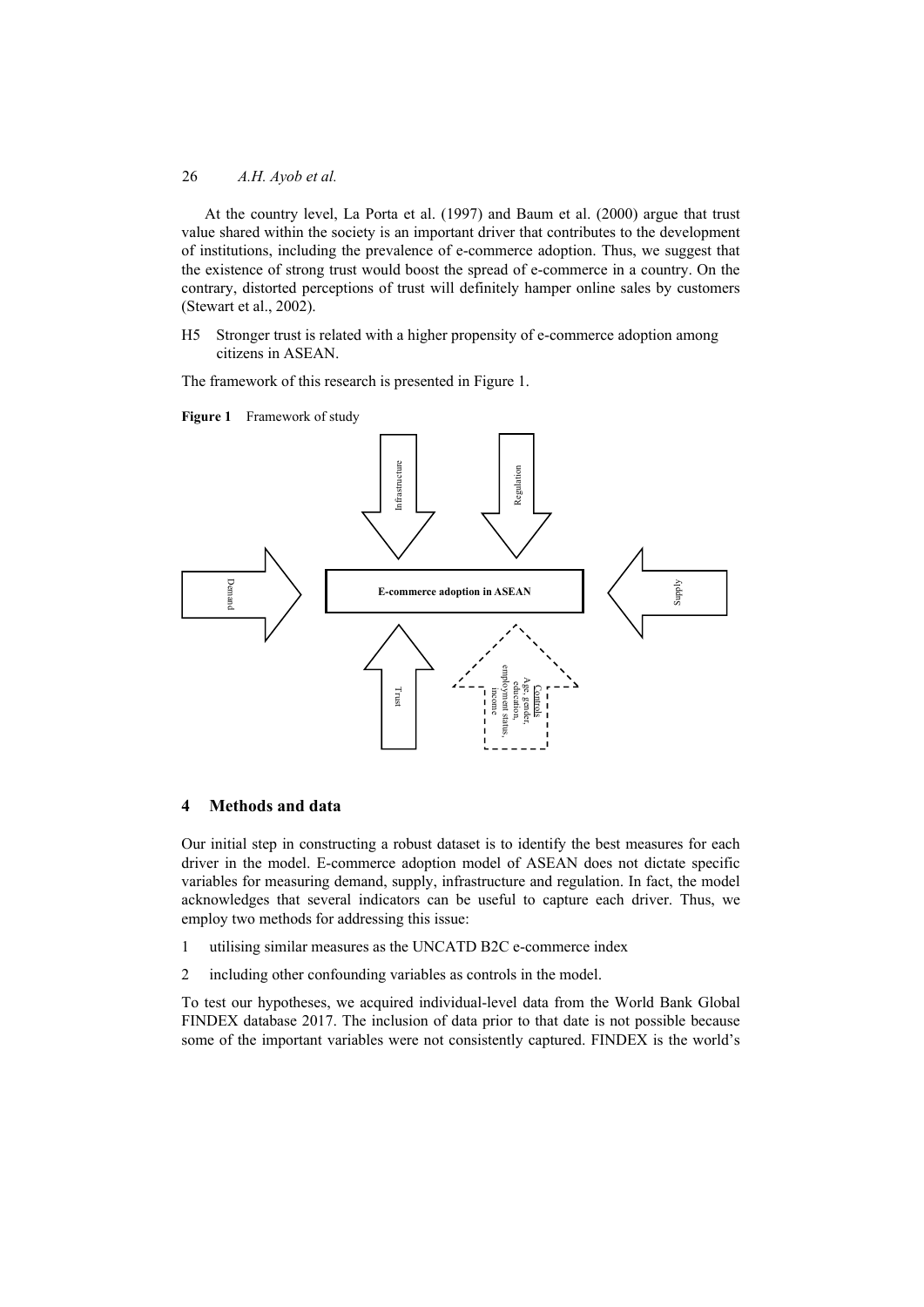At the country level, La Porta et al. (1997) and Baum et al. (2000) argue that trust value shared within the society is an important driver that contributes to the development of institutions, including the prevalence of e-commerce adoption. Thus, we suggest that the existence of strong trust would boost the spread of e-commerce in a country. On the contrary, distorted perceptions of trust will definitely hamper online sales by customers (Stewart et al., 2002).

H5 Stronger trust is related with a higher propensity of e-commerce adoption among citizens in ASEAN.

The framework of this research is presented in Figure 1.



**Figure 1** Framework of study

# **4 Methods and data**

Our initial step in constructing a robust dataset is to identify the best measures for each driver in the model. E-commerce adoption model of ASEAN does not dictate specific variables for measuring demand, supply, infrastructure and regulation. In fact, the model acknowledges that several indicators can be useful to capture each driver. Thus, we employ two methods for addressing this issue:

- 1 utilising similar measures as the UNCATD B2C e-commerce index
- 2 including other confounding variables as controls in the model.

To test our hypotheses, we acquired individual-level data from the World Bank Global FINDEX database 2017. The inclusion of data prior to that date is not possible because some of the important variables were not consistently captured. FINDEX is the world's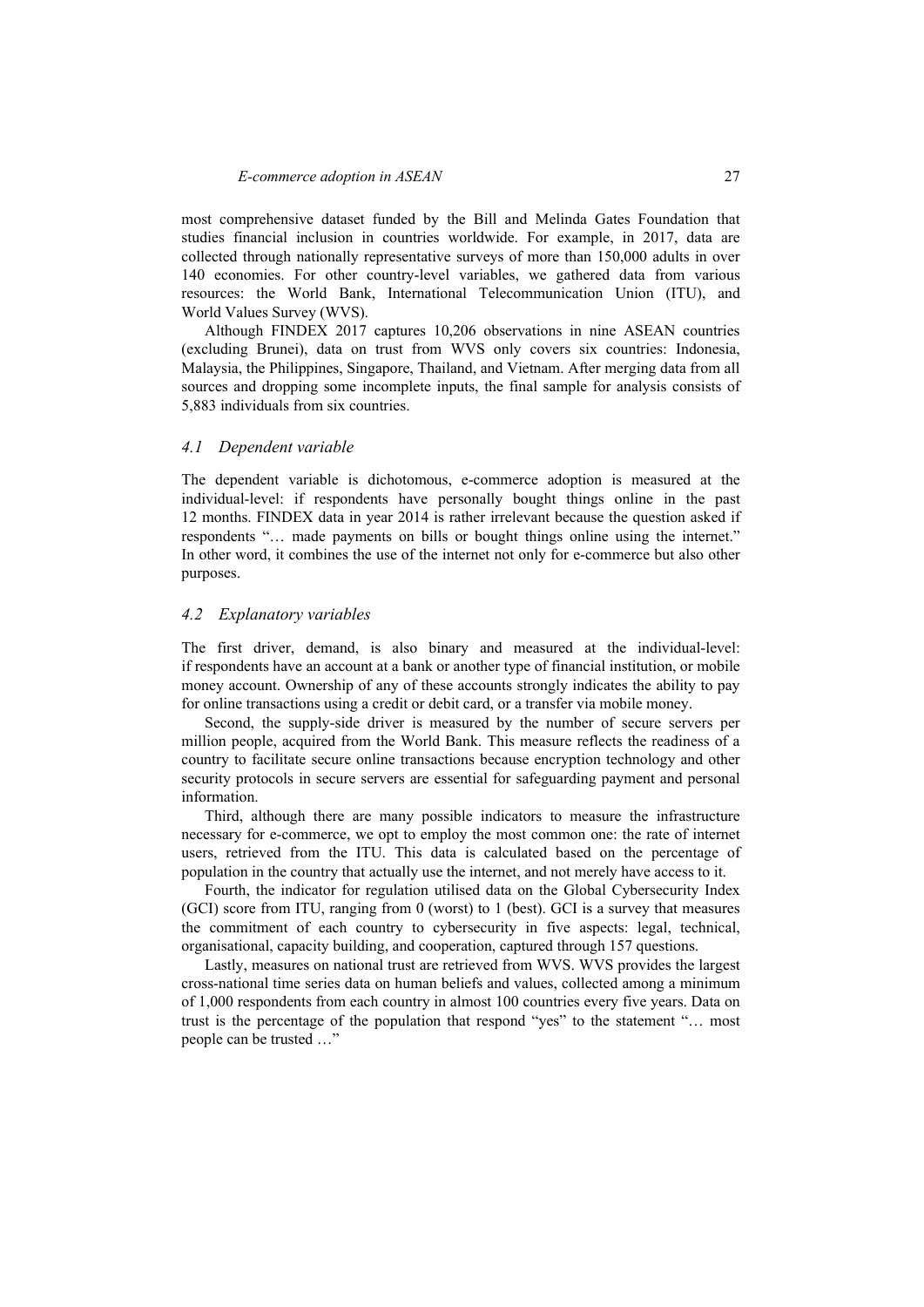most comprehensive dataset funded by the Bill and Melinda Gates Foundation that studies financial inclusion in countries worldwide. For example, in 2017, data are collected through nationally representative surveys of more than 150,000 adults in over 140 economies. For other country-level variables, we gathered data from various resources: the World Bank, International Telecommunication Union (ITU), and World Values Survey (WVS).

Although FINDEX 2017 captures 10,206 observations in nine ASEAN countries (excluding Brunei), data on trust from WVS only covers six countries: Indonesia, Malaysia, the Philippines, Singapore, Thailand, and Vietnam. After merging data from all sources and dropping some incomplete inputs, the final sample for analysis consists of 5,883 individuals from six countries.

### *4.1 Dependent variable*

The dependent variable is dichotomous, e-commerce adoption is measured at the individual-level: if respondents have personally bought things online in the past 12 months. FINDEX data in year 2014 is rather irrelevant because the question asked if respondents "… made payments on bills or bought things online using the internet." In other word, it combines the use of the internet not only for e-commerce but also other purposes.

#### *4.2 Explanatory variables*

The first driver, demand, is also binary and measured at the individual-level: if respondents have an account at a bank or another type of financial institution, or mobile money account. Ownership of any of these accounts strongly indicates the ability to pay for online transactions using a credit or debit card, or a transfer via mobile money.

Second, the supply-side driver is measured by the number of secure servers per million people, acquired from the World Bank. This measure reflects the readiness of a country to facilitate secure online transactions because encryption technology and other security protocols in secure servers are essential for safeguarding payment and personal information.

Third, although there are many possible indicators to measure the infrastructure necessary for e-commerce, we opt to employ the most common one: the rate of internet users, retrieved from the ITU. This data is calculated based on the percentage of population in the country that actually use the internet, and not merely have access to it.

Fourth, the indicator for regulation utilised data on the Global Cybersecurity Index (GCI) score from ITU, ranging from 0 (worst) to 1 (best). GCI is a survey that measures the commitment of each country to cybersecurity in five aspects: legal, technical, organisational, capacity building, and cooperation, captured through 157 questions.

Lastly, measures on national trust are retrieved from WVS. WVS provides the largest cross-national time series data on human beliefs and values, collected among a minimum of 1,000 respondents from each country in almost 100 countries every five years. Data on trust is the percentage of the population that respond "yes" to the statement "… most people can be trusted …"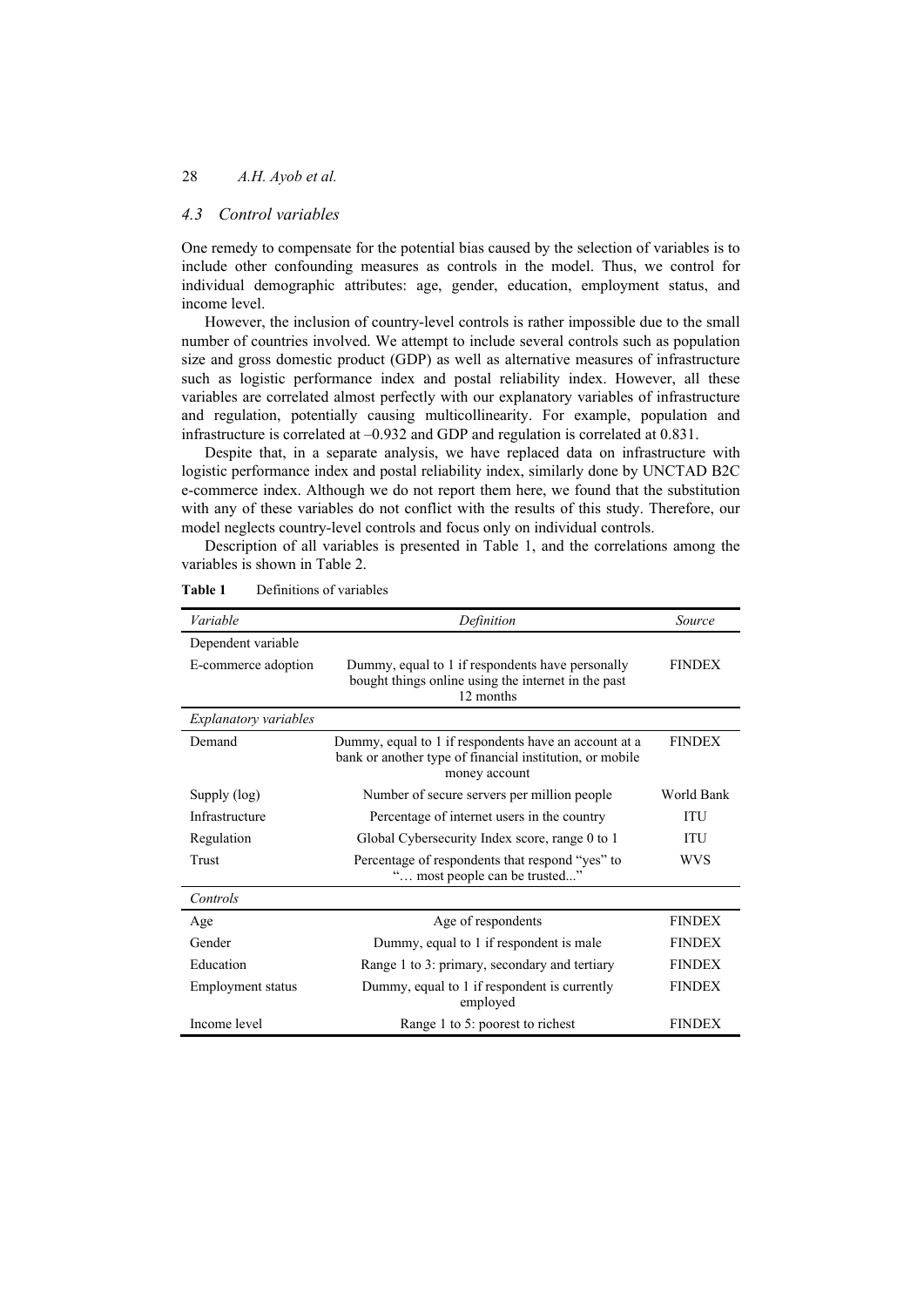## *4.3 Control variables*

One remedy to compensate for the potential bias caused by the selection of variables is to include other confounding measures as controls in the model. Thus, we control for individual demographic attributes: age, gender, education, employment status, and income level.

However, the inclusion of country-level controls is rather impossible due to the small number of countries involved. We attempt to include several controls such as population size and gross domestic product (GDP) as well as alternative measures of infrastructure such as logistic performance index and postal reliability index. However, all these variables are correlated almost perfectly with our explanatory variables of infrastructure and regulation, potentially causing multicollinearity. For example, population and infrastructure is correlated at –0.932 and GDP and regulation is correlated at 0.831.

Despite that, in a separate analysis, we have replaced data on infrastructure with logistic performance index and postal reliability index, similarly done by UNCTAD B2C e-commerce index. Although we do not report them here, we found that the substitution with any of these variables do not conflict with the results of this study. Therefore, our model neglects country-level controls and focus only on individual controls.

Description of all variables is presented in Table 1, and the correlations among the variables is shown in Table 2.

| Variable                     | Definition                                                                                                                         | Source        |
|------------------------------|------------------------------------------------------------------------------------------------------------------------------------|---------------|
| Dependent variable           |                                                                                                                                    |               |
| E-commerce adoption          | Dummy, equal to 1 if respondents have personally<br>bought things online using the internet in the past<br>12 months               | <b>FINDEX</b> |
| <i>Explanatory variables</i> |                                                                                                                                    |               |
| Demand                       | Dummy, equal to 1 if respondents have an account at a<br>bank or another type of financial institution, or mobile<br>money account | <b>FINDEX</b> |
| Supply (log)                 | Number of secure servers per million people                                                                                        | World Bank    |
| Infrastructure               | Percentage of internet users in the country                                                                                        | <b>ITU</b>    |
| Regulation                   | Global Cybersecurity Index score, range 0 to 1                                                                                     | ITU           |
| Trust                        | Percentage of respondents that respond "yes" to<br>" most people can be trusted"                                                   | <b>WVS</b>    |
| Controls                     |                                                                                                                                    |               |
| Age                          | Age of respondents                                                                                                                 | <b>FINDEX</b> |
| Gender                       | Dummy, equal to 1 if respondent is male                                                                                            | <b>FINDEX</b> |
| Education                    | Range 1 to 3: primary, secondary and tertiary                                                                                      | <b>FINDEX</b> |
| Employment status            | Dummy, equal to 1 if respondent is currently<br>employed                                                                           | <b>FINDEX</b> |
| Income level                 | Range 1 to 5: poorest to richest                                                                                                   | <b>FINDEX</b> |

**Table 1** Definitions of variables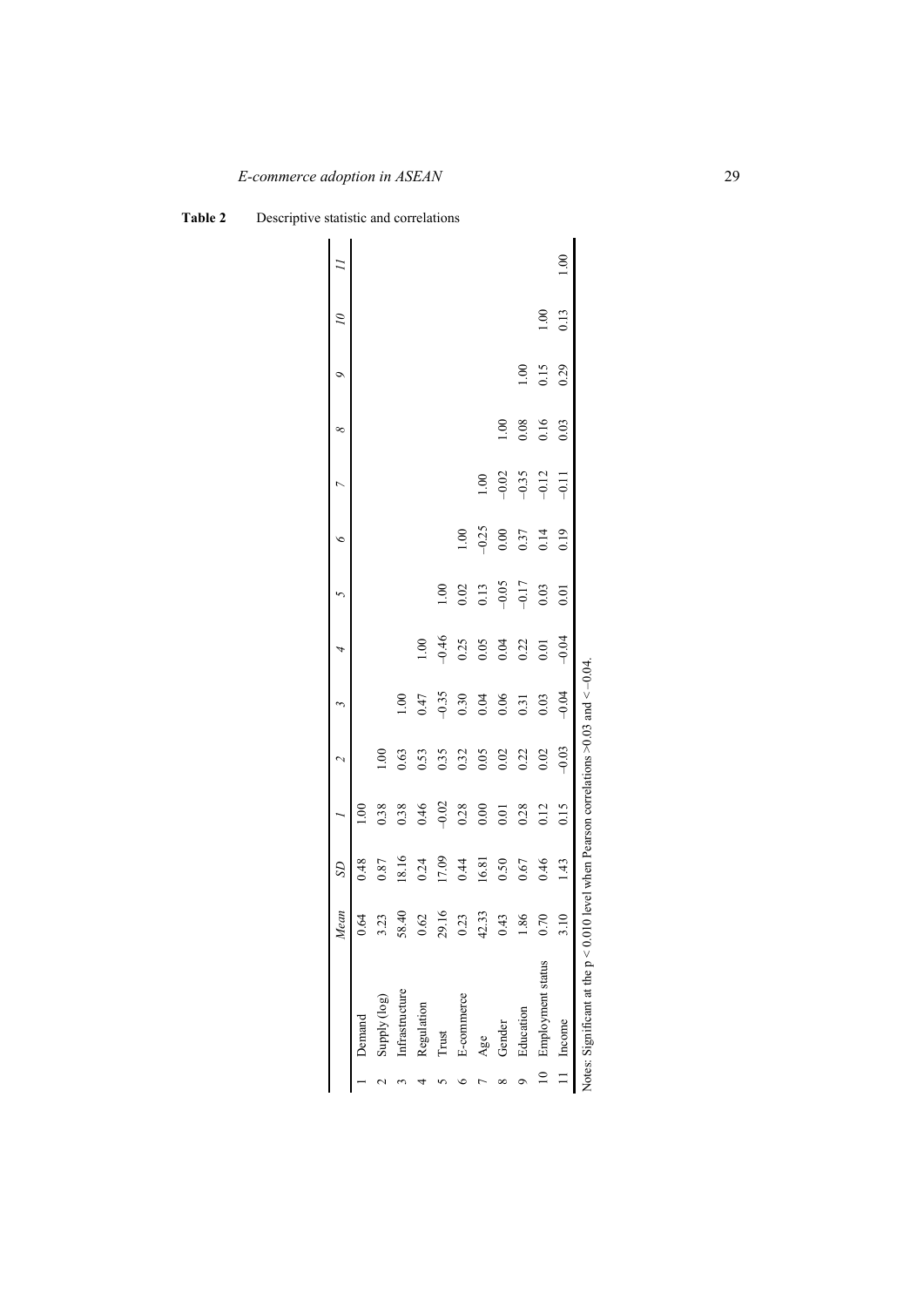|                                                                                          | Mean       | SD    |         |         |                |               |         | ¢       |         | ∞    | $\circ$ | $\tilde{c}$ |  |
|------------------------------------------------------------------------------------------|------------|-------|---------|---------|----------------|---------------|---------|---------|---------|------|---------|-------------|--|
| Demand                                                                                   | Ŝ,         | 0.48  |         |         |                |               |         |         |         |      |         |             |  |
| Supply (log)                                                                             | S          | 0.87  | 0.38    | S.      |                |               |         |         |         |      |         |             |  |
| Infrastructure                                                                           | Ҿ<br>58.   | 18.16 | 0.38    | 0.63    | $\frac{8}{10}$ |               |         |         |         |      |         |             |  |
| Regulation                                                                               | 0.62       | 0.24  | 0.46    | 0.53    | 0.47           | $\frac{8}{1}$ |         |         |         |      |         |             |  |
| Trust                                                                                    | 29.16      | 17.09 | $-0.02$ | 0.35    | $-0.35$        | $-0.46$       | 1.00    |         |         |      |         |             |  |
| E-commerce                                                                               | $\ddot{c}$ | 0.44  | 0.28    | 0.32    | 0.30           | 0.25          | 0.02    | 0.1     |         |      |         |             |  |
| Age                                                                                      | 42.33      | 16.81 | 0.00    | 0.05    | 0.04           | 0.05          | 0.13    | $-0.25$ | 0.100   |      |         |             |  |
| Gender                                                                                   | $\ddot{4}$ | 0.50  | 0.01    | 0.02    | 0.06           | 0.04          | $-0.05$ | 0.00    | $-0.02$ | ș    |         |             |  |
| Education                                                                                | 86.        | 0.67  | 0.28    | 0.22    | 0.31           | 0.22          | $-0.17$ | 0.37    | $-0.35$ | 0.08 | 00.1    |             |  |
| 10 Employment status                                                                     | S.         | 0.46  | 0.12    | 0.02    | 0.03           | 0.01          | 0.03    | 0.14    | $-0.12$ | 0.16 | 0.15    | 00.1        |  |
| 11 Income                                                                                | $\Xi$      | 1.43  | 0.15    | $-0.03$ | $-0.04$        | $-0.04$       | 0.01    | 0.19    | $-0.11$ | 0.03 | 0.29    | 0.13        |  |
| Notes: Significant at the $p < 0.010$ level when Pearson correlations >0.03 and $<-0.04$ |            |       |         |         |                |               |         |         |         |      |         |             |  |

**Table 2** Descriptive statistic and correlations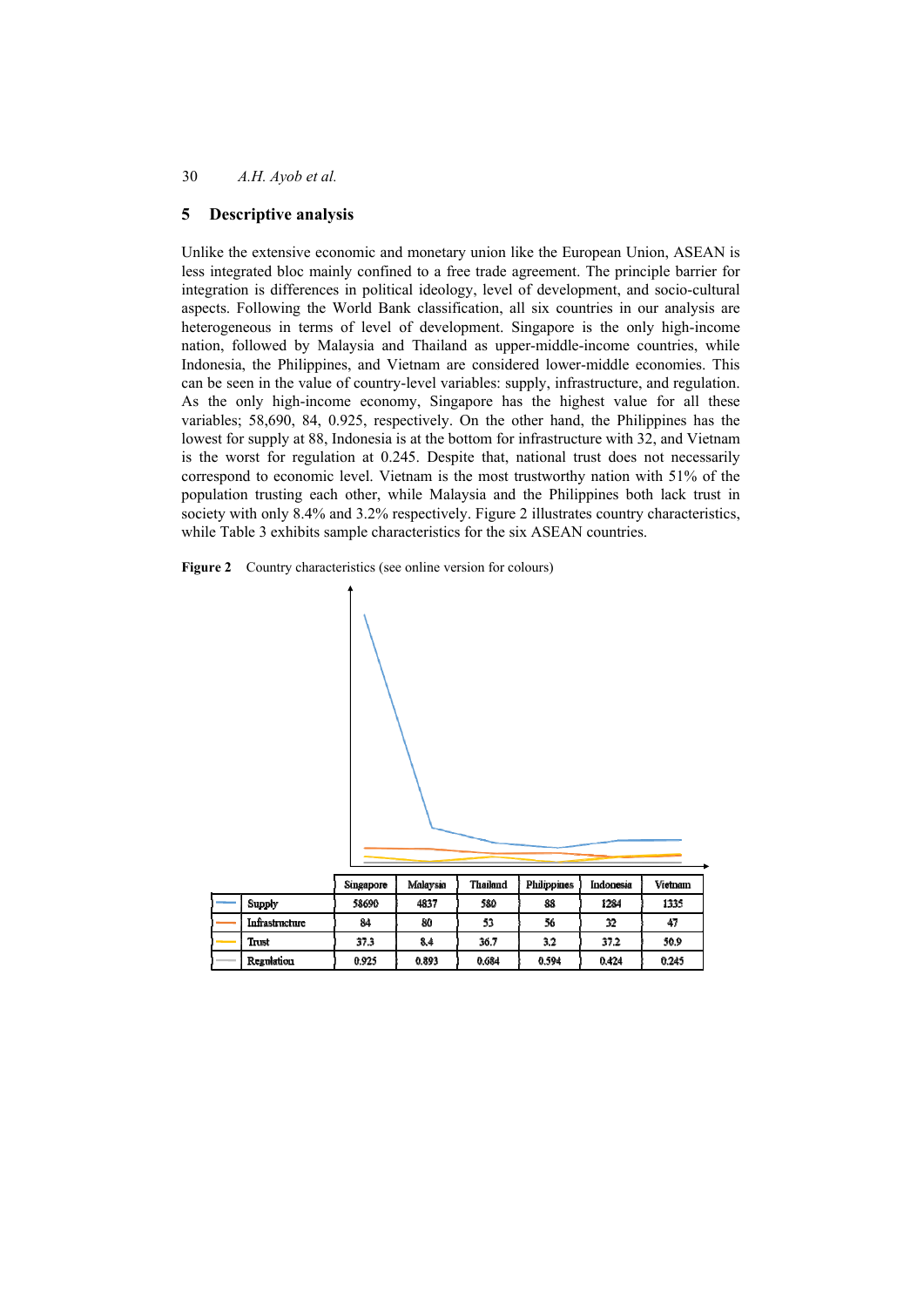# **5 Descriptive analysis**

Unlike the extensive economic and monetary union like the European Union, ASEAN is less integrated bloc mainly confined to a free trade agreement. The principle barrier for integration is differences in political ideology, level of development, and socio-cultural aspects. Following the World Bank classification, all six countries in our analysis are heterogeneous in terms of level of development. Singapore is the only high-income nation, followed by Malaysia and Thailand as upper-middle-income countries, while Indonesia, the Philippines, and Vietnam are considered lower-middle economies. This can be seen in the value of country-level variables: supply, infrastructure, and regulation. As the only high-income economy, Singapore has the highest value for all these variables; 58,690, 84, 0.925, respectively. On the other hand, the Philippines has the lowest for supply at 88, Indonesia is at the bottom for infrastructure with 32, and Vietnam is the worst for regulation at 0.245. Despite that, national trust does not necessarily correspond to economic level. Vietnam is the most trustworthy nation with 51% of the population trusting each other, while Malaysia and the Philippines both lack trust in society with only 8.4% and 3.2% respectively. Figure 2 illustrates country characteristics, while Table 3 exhibits sample characteristics for the six ASEAN countries.





|                | Singapore | Malaysia | Thailand | <b>Philippines</b> | Indonesia | Vietnam |
|----------------|-----------|----------|----------|--------------------|-----------|---------|
| Supply         | 58690     | 4837     | 580      | 88                 | 1284      | 1335    |
| Infrastructure | 84        | 80       | 53       | 56                 | 32        | 47      |
| Trust          | 37.3      | 8.4      | 36.7     | 3.2                | 37.2      | 50.9    |
| Regulation     | 0.925     | 0.893    | 0.684    | 0.594              | 0.424     | 0.245   |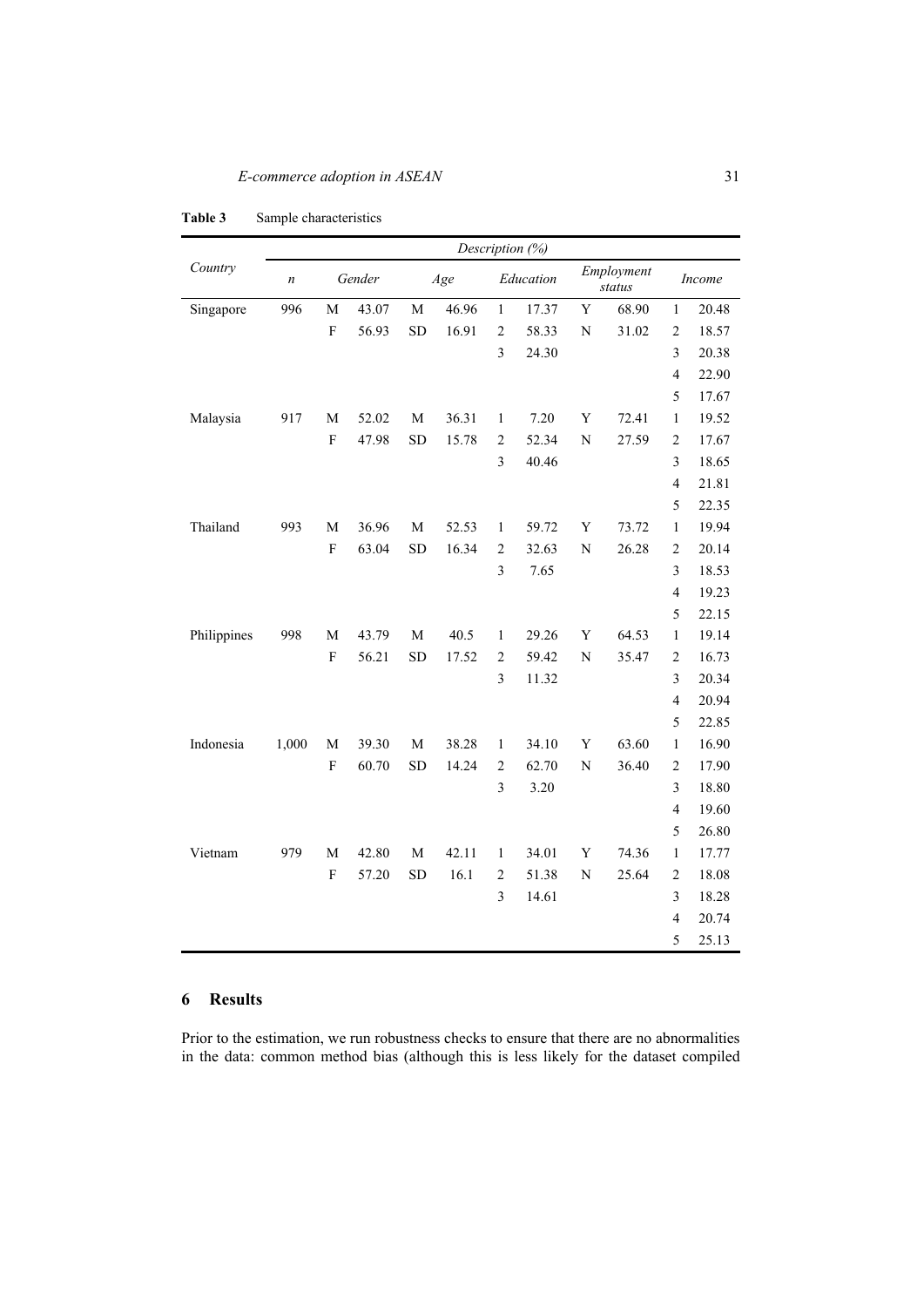|             |                  |             |        | Description (%) |       |                |           |                |                      |                         |        |
|-------------|------------------|-------------|--------|-----------------|-------|----------------|-----------|----------------|----------------------|-------------------------|--------|
| Country     | $\boldsymbol{n}$ |             | Gender |                 | Age   |                | Education |                | Employment<br>status |                         | Income |
| Singapore   | 996              | $\mathbf M$ | 43.07  | $\mathbf M$     | 46.96 | $\,1$          | 17.37     | $\mathbf Y$    | 68.90                | $\mathbf{1}$            | 20.48  |
|             |                  | $\mathbf F$ | 56.93  | <b>SD</b>       | 16.91 | $\overline{2}$ | 58.33     | $\mathbf N$    | 31.02                | $\overline{2}$          | 18.57  |
|             |                  |             |        |                 |       | 3              | 24.30     |                |                      | $\overline{\mathbf{3}}$ | 20.38  |
|             |                  |             |        |                 |       |                |           |                |                      | $\overline{\mathbf{4}}$ | 22.90  |
|             |                  |             |        |                 |       |                |           |                |                      | 5                       | 17.67  |
| Malaysia    | 917              | M           | 52.02  | M               | 36.31 | $\mathbf{1}$   | 7.20      | Y              | 72.41                | $\mathbf{1}$            | 19.52  |
|             |                  | $\mathbf F$ | 47.98  | <b>SD</b>       | 15.78 | $\mathfrak{2}$ | 52.34     | $\mathbf N$    | 27.59                | $\sqrt{2}$              | 17.67  |
|             |                  |             |        |                 |       | $\overline{3}$ | 40.46     |                |                      | 3                       | 18.65  |
|             |                  |             |        |                 |       |                |           |                |                      | $\overline{4}$          | 21.81  |
|             |                  |             |        |                 |       |                |           |                |                      | 5                       | 22.35  |
| Thailand    | 993              | $\mathbf M$ | 36.96  | M               | 52.53 | 1              | 59.72     | $\mathbf Y$    | 73.72                | $\mathbf{1}$            | 19.94  |
|             |                  | $\mathbf F$ | 63.04  | <b>SD</b>       | 16.34 | $\overline{c}$ | 32.63     | $\overline{N}$ | 26.28                | $\overline{2}$          | 20.14  |
|             |                  |             |        |                 |       | 3              | 7.65      |                |                      | 3                       | 18.53  |
|             |                  |             |        |                 |       |                |           |                |                      | $\overline{4}$          | 19.23  |
|             |                  |             |        |                 |       |                |           |                |                      | 5                       | 22.15  |
| Philippines | 998              | $\mathbf M$ | 43.79  | $\mathbf{M}$    | 40.5  | $\mathbf{1}$   | 29.26     | $\mathbf Y$    | 64.53                | $\mathbf{1}$            | 19.14  |
|             |                  | $\mathbf F$ | 56.21  | <b>SD</b>       | 17.52 | $\overline{c}$ | 59.42     | $\mathbf N$    | 35.47                | $\overline{c}$          | 16.73  |
|             |                  |             |        |                 |       | $\mathfrak{Z}$ | 11.32     |                |                      | 3                       | 20.34  |
|             |                  |             |        |                 |       |                |           |                |                      | $\overline{4}$          | 20.94  |
|             |                  |             |        |                 |       |                |           |                |                      | 5                       | 22.85  |
| Indonesia   | 1,000            | M           | 39.30  | M               | 38.28 | $\mathbf{1}$   | 34.10     | Y              | 63.60                | $\mathbf{1}$            | 16.90  |
|             |                  | $\mathbf F$ | 60.70  | <b>SD</b>       | 14.24 | $\mathfrak{2}$ | 62.70     | $\mathbf N$    | 36.40                | $\overline{c}$          | 17.90  |
|             |                  |             |        |                 |       | $\overline{3}$ | 3.20      |                |                      | 3                       | 18.80  |
|             |                  |             |        |                 |       |                |           |                |                      | $\overline{4}$          | 19.60  |
|             |                  |             |        |                 |       |                |           |                |                      | 5                       | 26.80  |
| Vietnam     | 979              | $\mathbf M$ | 42.80  | $\mathbf{M}$    | 42.11 | $\mathbf{1}$   | 34.01     | Y              | 74.36                | $\mathbf{1}$            | 17.77  |
|             |                  | $\mathbf F$ | 57.20  | <b>SD</b>       | 16.1  | $\overline{c}$ | 51.38     | $\mathbf N$    | 25.64                | $\overline{c}$          | 18.08  |
|             |                  |             |        |                 |       | $\mathfrak{Z}$ | 14.61     |                |                      | 3                       | 18.28  |
|             |                  |             |        |                 |       |                |           |                |                      | $\overline{4}$          | 20.74  |
|             |                  |             |        |                 |       |                |           |                |                      | 5                       | 25.13  |

#### **Table 3** Sample characteristics

# **6 Results**

Prior to the estimation, we run robustness checks to ensure that there are no abnormalities in the data: common method bias (although this is less likely for the dataset compiled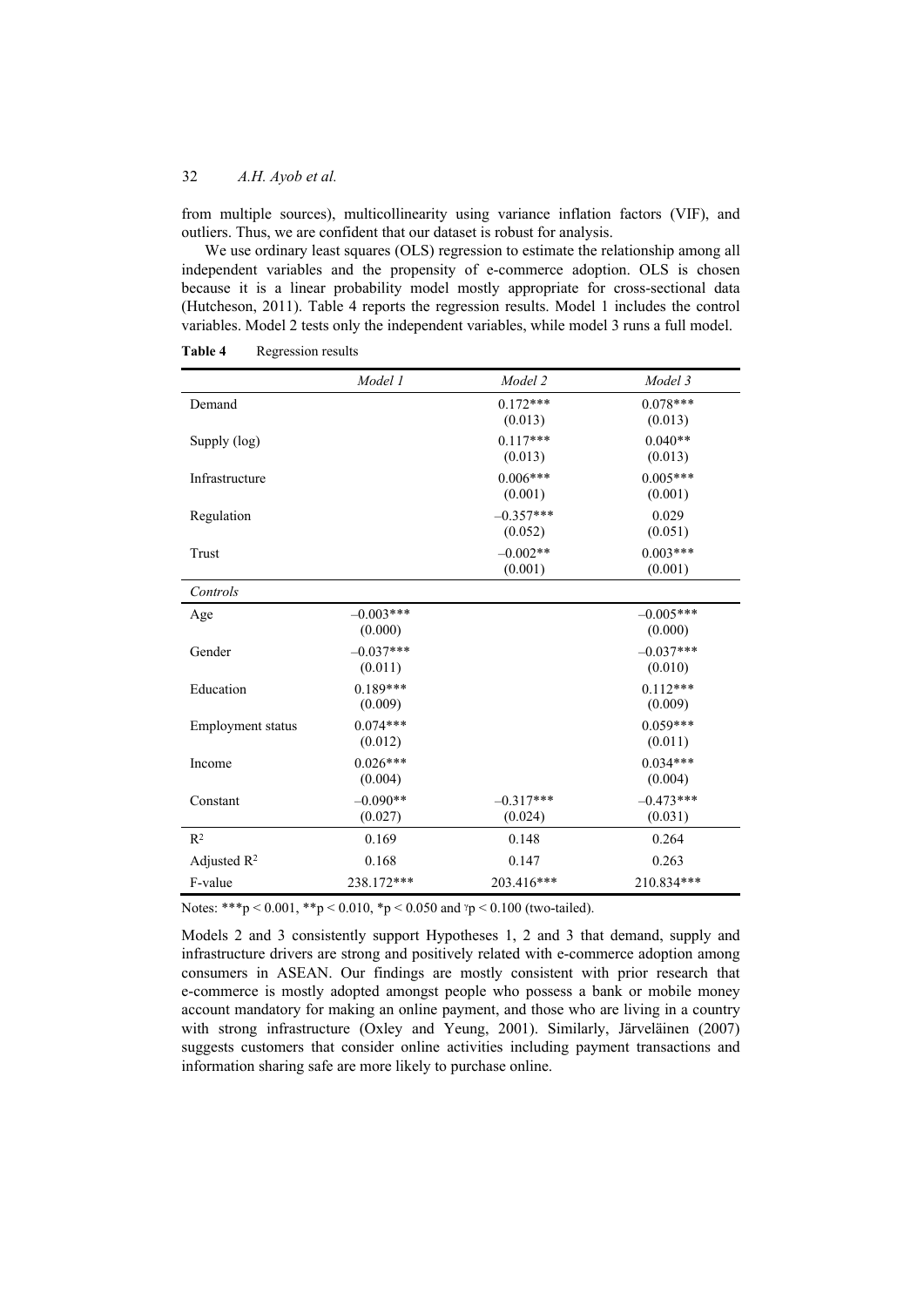from multiple sources), multicollinearity using variance inflation factors (VIF), and outliers. Thus, we are confident that our dataset is robust for analysis.

We use ordinary least squares (OLS) regression to estimate the relationship among all independent variables and the propensity of e-commerce adoption. OLS is chosen because it is a linear probability model mostly appropriate for cross-sectional data (Hutcheson, 2011). Table 4 reports the regression results. Model 1 includes the control variables. Model 2 tests only the independent variables, while model 3 runs a full model.

|                         | Model 1                | Model 2                          | Model 3                         |
|-------------------------|------------------------|----------------------------------|---------------------------------|
| Demand                  |                        | $0.172***$                       | $0.078***$                      |
| Supply (log)            |                        | (0.013)<br>$0.117***$<br>(0.013) | (0.013)<br>$0.040**$<br>(0.013) |
| Infrastructure          |                        | $0.006***$<br>(0.001)            | $0.005***$<br>(0.001)           |
| Regulation              |                        | $-0.357***$<br>(0.052)           | 0.029<br>(0.051)                |
| Trust                   |                        | $-0.002**$<br>(0.001)            | $0.003***$<br>(0.001)           |
| Controls                |                        |                                  |                                 |
| Age                     | $-0.003***$<br>(0.000) |                                  | $-0.005***$<br>(0.000)          |
| Gender                  | $-0.037***$<br>(0.011) |                                  | $-0.037***$<br>(0.010)          |
| Education               | $0.189***$<br>(0.009)  |                                  | $0.112***$<br>(0.009)           |
| Employment status       | $0.074***$<br>(0.012)  |                                  | $0.059***$<br>(0.011)           |
| Income                  | $0.026***$<br>(0.004)  |                                  | $0.034***$<br>(0.004)           |
| Constant                | $-0.090**$<br>(0.027)  | $-0.317***$<br>(0.024)           | $-0.473***$<br>(0.031)          |
| $R^2$                   | 0.169                  | 0.148                            | 0.264                           |
| Adjusted R <sup>2</sup> | 0.168                  | 0.147                            | 0.263                           |
| F-value                 | 238.172***             | 203.416***                       | 210.834***                      |

Table 4 Regression results

Notes: \*\*\*p < 0.001, \*\*p < 0.010, \*p < 0.050 and  $\gamma$ p < 0.100 (two-tailed).

Models 2 and 3 consistently support Hypotheses 1, 2 and 3 that demand, supply and infrastructure drivers are strong and positively related with e-commerce adoption among consumers in ASEAN. Our findings are mostly consistent with prior research that e-commerce is mostly adopted amongst people who possess a bank or mobile money account mandatory for making an online payment, and those who are living in a country with strong infrastructure (Oxley and Yeung, 2001). Similarly, Järveläinen (2007) suggests customers that consider online activities including payment transactions and information sharing safe are more likely to purchase online.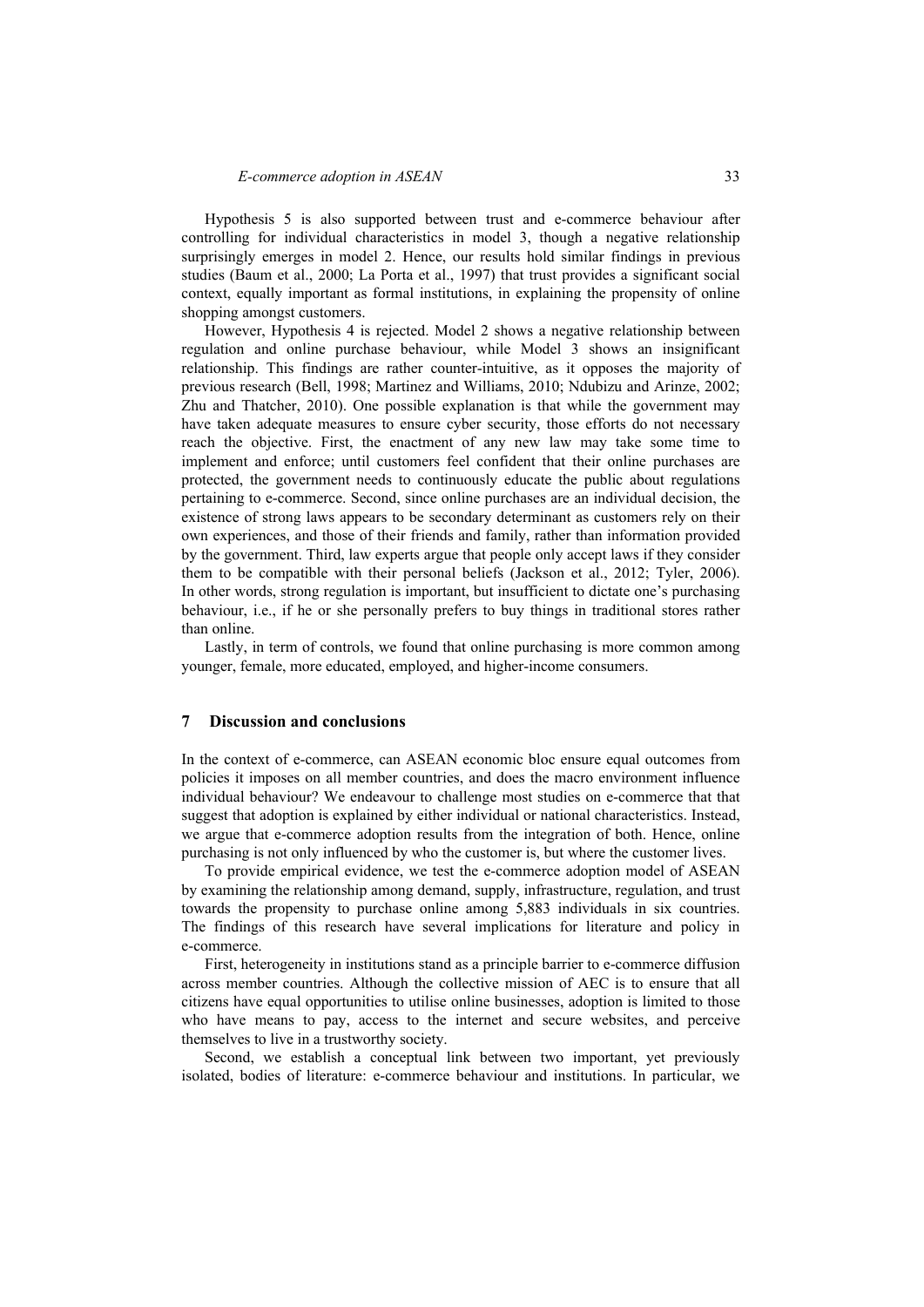Hypothesis 5 is also supported between trust and e-commerce behaviour after controlling for individual characteristics in model 3, though a negative relationship surprisingly emerges in model 2. Hence, our results hold similar findings in previous studies (Baum et al., 2000; La Porta et al., 1997) that trust provides a significant social context, equally important as formal institutions, in explaining the propensity of online shopping amongst customers.

However, Hypothesis 4 is rejected. Model 2 shows a negative relationship between regulation and online purchase behaviour, while Model 3 shows an insignificant relationship. This findings are rather counter-intuitive, as it opposes the majority of previous research (Bell, 1998; Martinez and Williams, 2010; Ndubizu and Arinze, 2002; Zhu and Thatcher, 2010). One possible explanation is that while the government may have taken adequate measures to ensure cyber security, those efforts do not necessary reach the objective. First, the enactment of any new law may take some time to implement and enforce; until customers feel confident that their online purchases are protected, the government needs to continuously educate the public about regulations pertaining to e-commerce. Second, since online purchases are an individual decision, the existence of strong laws appears to be secondary determinant as customers rely on their own experiences, and those of their friends and family, rather than information provided by the government. Third, law experts argue that people only accept laws if they consider them to be compatible with their personal beliefs (Jackson et al., 2012; Tyler, 2006). In other words, strong regulation is important, but insufficient to dictate one's purchasing behaviour, i.e., if he or she personally prefers to buy things in traditional stores rather than online.

Lastly, in term of controls, we found that online purchasing is more common among younger, female, more educated, employed, and higher-income consumers.

### **7 Discussion and conclusions**

In the context of e-commerce, can ASEAN economic bloc ensure equal outcomes from policies it imposes on all member countries, and does the macro environment influence individual behaviour? We endeavour to challenge most studies on e-commerce that that suggest that adoption is explained by either individual or national characteristics. Instead, we argue that e-commerce adoption results from the integration of both. Hence, online purchasing is not only influenced by who the customer is, but where the customer lives.

To provide empirical evidence, we test the e-commerce adoption model of ASEAN by examining the relationship among demand, supply, infrastructure, regulation, and trust towards the propensity to purchase online among 5,883 individuals in six countries. The findings of this research have several implications for literature and policy in e-commerce.

First, heterogeneity in institutions stand as a principle barrier to e-commerce diffusion across member countries. Although the collective mission of AEC is to ensure that all citizens have equal opportunities to utilise online businesses, adoption is limited to those who have means to pay, access to the internet and secure websites, and perceive themselves to live in a trustworthy society.

Second, we establish a conceptual link between two important, yet previously isolated, bodies of literature: e-commerce behaviour and institutions. In particular, we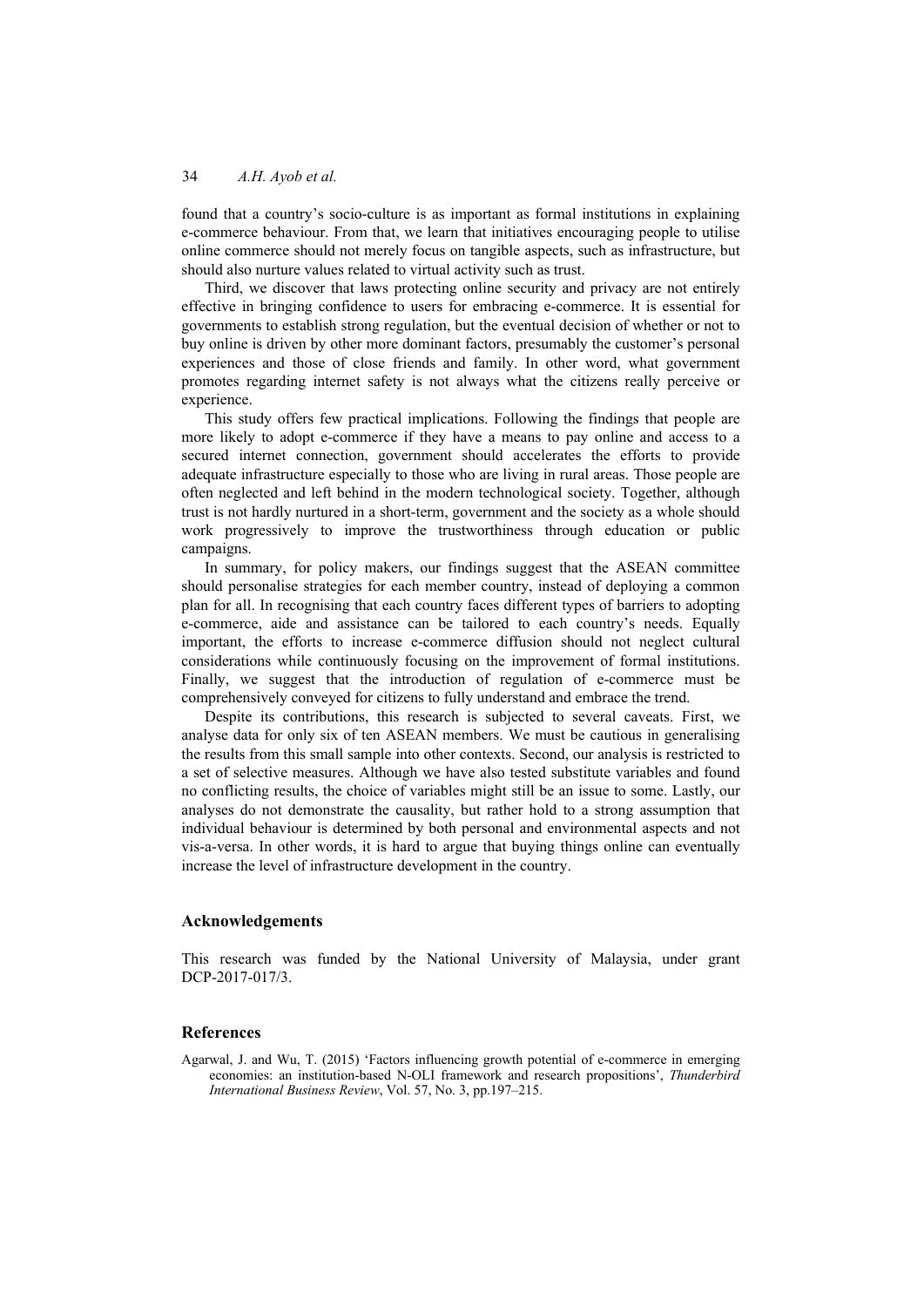found that a country's socio-culture is as important as formal institutions in explaining e-commerce behaviour. From that, we learn that initiatives encouraging people to utilise online commerce should not merely focus on tangible aspects, such as infrastructure, but should also nurture values related to virtual activity such as trust.

Third, we discover that laws protecting online security and privacy are not entirely effective in bringing confidence to users for embracing e-commerce. It is essential for governments to establish strong regulation, but the eventual decision of whether or not to buy online is driven by other more dominant factors, presumably the customer's personal experiences and those of close friends and family. In other word, what government promotes regarding internet safety is not always what the citizens really perceive or experience.

This study offers few practical implications. Following the findings that people are more likely to adopt e-commerce if they have a means to pay online and access to a secured internet connection, government should accelerates the efforts to provide adequate infrastructure especially to those who are living in rural areas. Those people are often neglected and left behind in the modern technological society. Together, although trust is not hardly nurtured in a short-term, government and the society as a whole should work progressively to improve the trustworthiness through education or public campaigns.

In summary, for policy makers, our findings suggest that the ASEAN committee should personalise strategies for each member country, instead of deploying a common plan for all. In recognising that each country faces different types of barriers to adopting e-commerce, aide and assistance can be tailored to each country's needs. Equally important, the efforts to increase e-commerce diffusion should not neglect cultural considerations while continuously focusing on the improvement of formal institutions. Finally, we suggest that the introduction of regulation of e-commerce must be comprehensively conveyed for citizens to fully understand and embrace the trend.

Despite its contributions, this research is subjected to several caveats. First, we analyse data for only six of ten ASEAN members. We must be cautious in generalising the results from this small sample into other contexts. Second, our analysis is restricted to a set of selective measures. Although we have also tested substitute variables and found no conflicting results, the choice of variables might still be an issue to some. Lastly, our analyses do not demonstrate the causality, but rather hold to a strong assumption that individual behaviour is determined by both personal and environmental aspects and not vis-a-versa. In other words, it is hard to argue that buying things online can eventually increase the level of infrastructure development in the country.

### **Acknowledgements**

This research was funded by the National University of Malaysia, under grant DCP-2017-017/3.

#### **References**

Agarwal, J. and Wu, T. (2015) 'Factors influencing growth potential of e‐commerce in emerging economies: an institution‐based N‐OLI framework and research propositions', *Thunderbird International Business Review*, Vol. 57, No. 3, pp.197–215.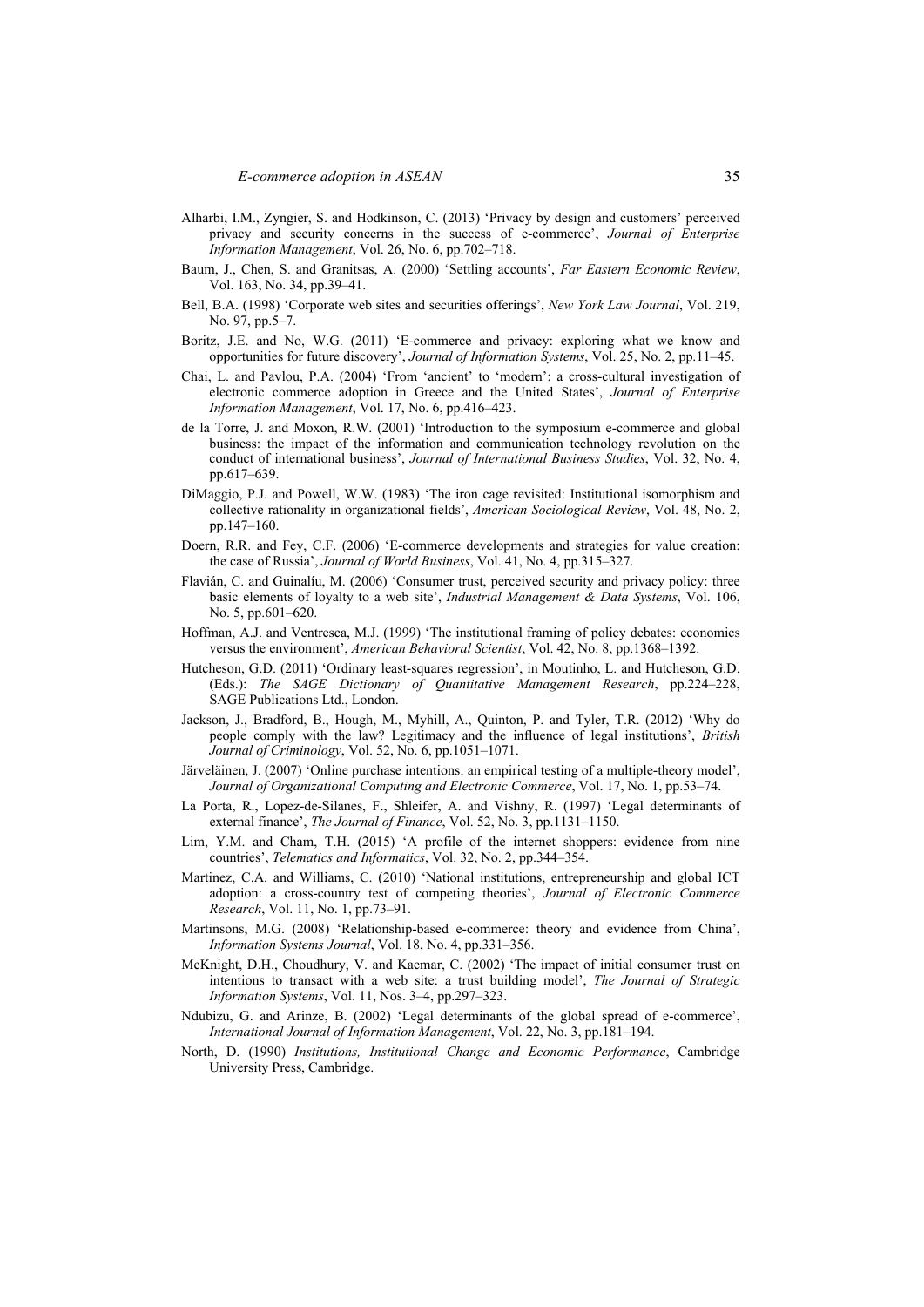- Alharbi, I.M., Zyngier, S. and Hodkinson, C. (2013) 'Privacy by design and customers' perceived privacy and security concerns in the success of e-commerce', *Journal of Enterprise Information Management*, Vol. 26, No. 6, pp.702–718.
- Baum, J., Chen, S. and Granitsas, A. (2000) 'Settling accounts', *Far Eastern Economic Review*, Vol. 163, No. 34, pp.39–41.
- Bell, B.A. (1998) 'Corporate web sites and securities offerings', *New York Law Journal*, Vol. 219, No. 97, pp.5–7.
- Boritz, J.E. and No, W.G. (2011) 'E-commerce and privacy: exploring what we know and opportunities for future discovery', *Journal of Information Systems*, Vol. 25, No. 2, pp.11–45.
- Chai, L. and Pavlou, P.A. (2004) 'From 'ancient' to 'modern': a cross-cultural investigation of electronic commerce adoption in Greece and the United States', *Journal of Enterprise Information Management*, Vol. 17, No. 6, pp.416–423.
- de la Torre, J. and Moxon, R.W. (2001) 'Introduction to the symposium e-commerce and global business: the impact of the information and communication technology revolution on the conduct of international business', *Journal of International Business Studies*, Vol. 32, No. 4, pp.617–639.
- DiMaggio, P.J. and Powell, W.W. (1983) 'The iron cage revisited: Institutional isomorphism and collective rationality in organizational fields', *American Sociological Review*, Vol. 48, No. 2, pp.147–160.
- Doern, R.R. and Fey, C.F. (2006) 'E-commerce developments and strategies for value creation: the case of Russia', *Journal of World Business*, Vol. 41, No. 4, pp.315–327.
- Flavián, C. and Guinalíu, M. (2006) 'Consumer trust, perceived security and privacy policy: three basic elements of loyalty to a web site', *Industrial Management & Data Systems*, Vol. 106, No. 5, pp.601–620.
- Hoffman, A.J. and Ventresca, M.J. (1999) 'The institutional framing of policy debates: economics versus the environment', *American Behavioral Scientist*, Vol. 42, No. 8, pp.1368–1392.
- Hutcheson, G.D. (2011) 'Ordinary least-squares regression', in Moutinho, L. and Hutcheson, G.D. (Eds.): *The SAGE Dictionary of Quantitative Management Research*, pp.224–228, SAGE Publications Ltd., London.
- Jackson, J., Bradford, B., Hough, M., Myhill, A., Quinton, P. and Tyler, T.R. (2012) 'Why do people comply with the law? Legitimacy and the influence of legal institutions', *British Journal of Criminology*, Vol. 52, No. 6, pp.1051–1071.
- Järveläinen, J. (2007) 'Online purchase intentions: an empirical testing of a multiple-theory model', *Journal of Organizational Computing and Electronic Commerce*, Vol. 17, No. 1, pp.53–74.
- La Porta, R., Lopez-de-Silanes, F., Shleifer, A. and Vishny, R. (1997) 'Legal determinants of external finance', *The Journal of Finance*, Vol. 52, No. 3, pp.1131–1150.
- Lim, Y.M. and Cham, T.H. (2015) 'A profile of the internet shoppers: evidence from nine countries', *Telematics and Informatics*, Vol. 32, No. 2, pp.344–354.
- Martinez, C.A. and Williams, C. (2010) 'National institutions, entrepreneurship and global ICT adoption: a cross-country test of competing theories', *Journal of Electronic Commerce Research*, Vol. 11, No. 1, pp.73–91.
- Martinsons, M.G. (2008) 'Relationship-based e-commerce: theory and evidence from China', *Information Systems Journal*, Vol. 18, No. 4, pp.331–356.
- McKnight, D.H., Choudhury, V. and Kacmar, C. (2002) 'The impact of initial consumer trust on intentions to transact with a web site: a trust building model', *The Journal of Strategic Information Systems*, Vol. 11, Nos. 3–4, pp.297–323.
- Ndubizu, G. and Arinze, B. (2002) 'Legal determinants of the global spread of e-commerce', *International Journal of Information Management*, Vol. 22, No. 3, pp.181–194.
- North, D. (1990) *Institutions, Institutional Change and Economic Performance*, Cambridge University Press, Cambridge.